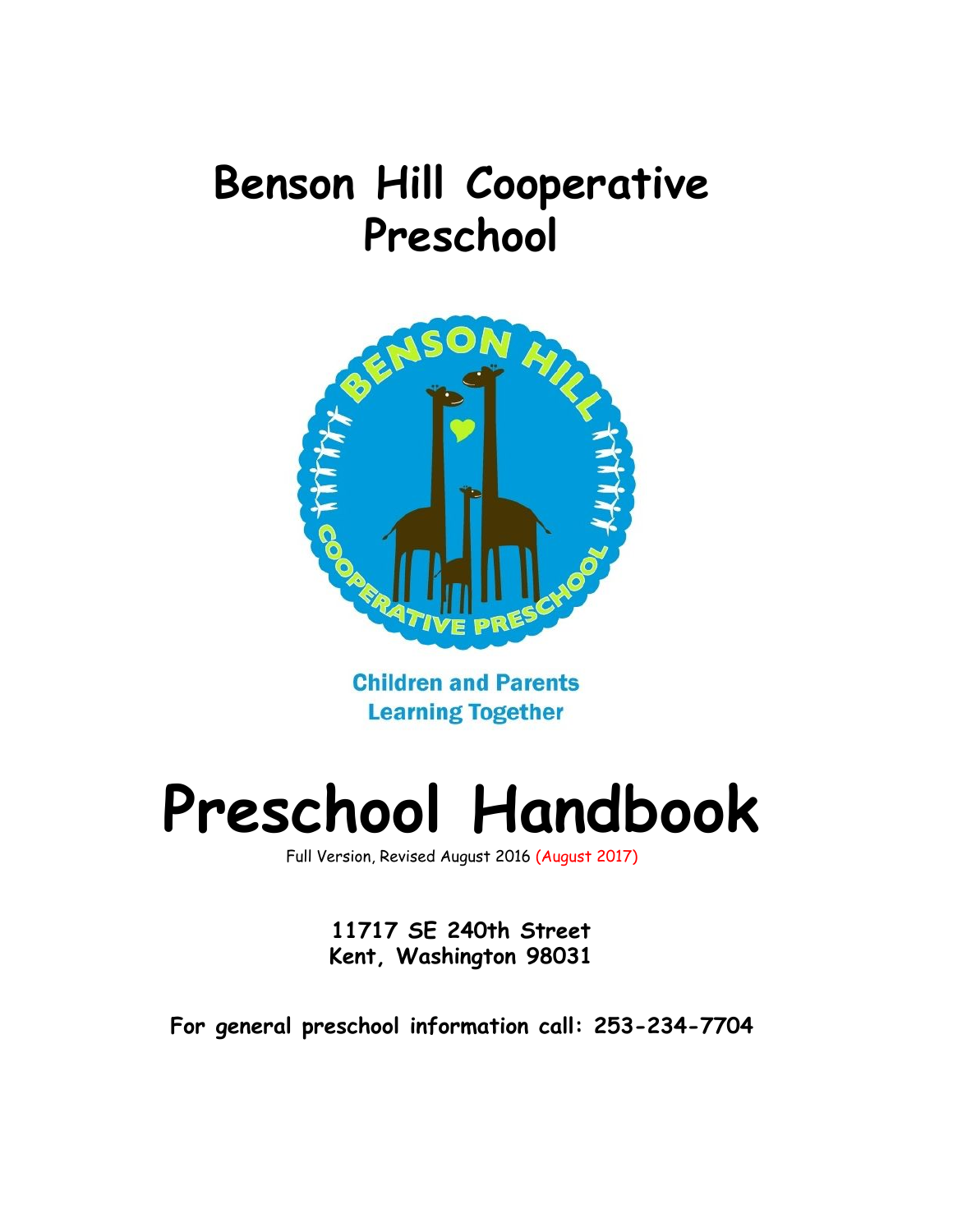# **Benson Hill Cooperative Preschool**



**Children and Parents Learning Together** 

# **Preschool Handbook**

Full Version, Revised August 2016 (August 2017)

**11717 SE 240th Street Kent, Washington 98031**

**For general preschool information call: 253-234-7704**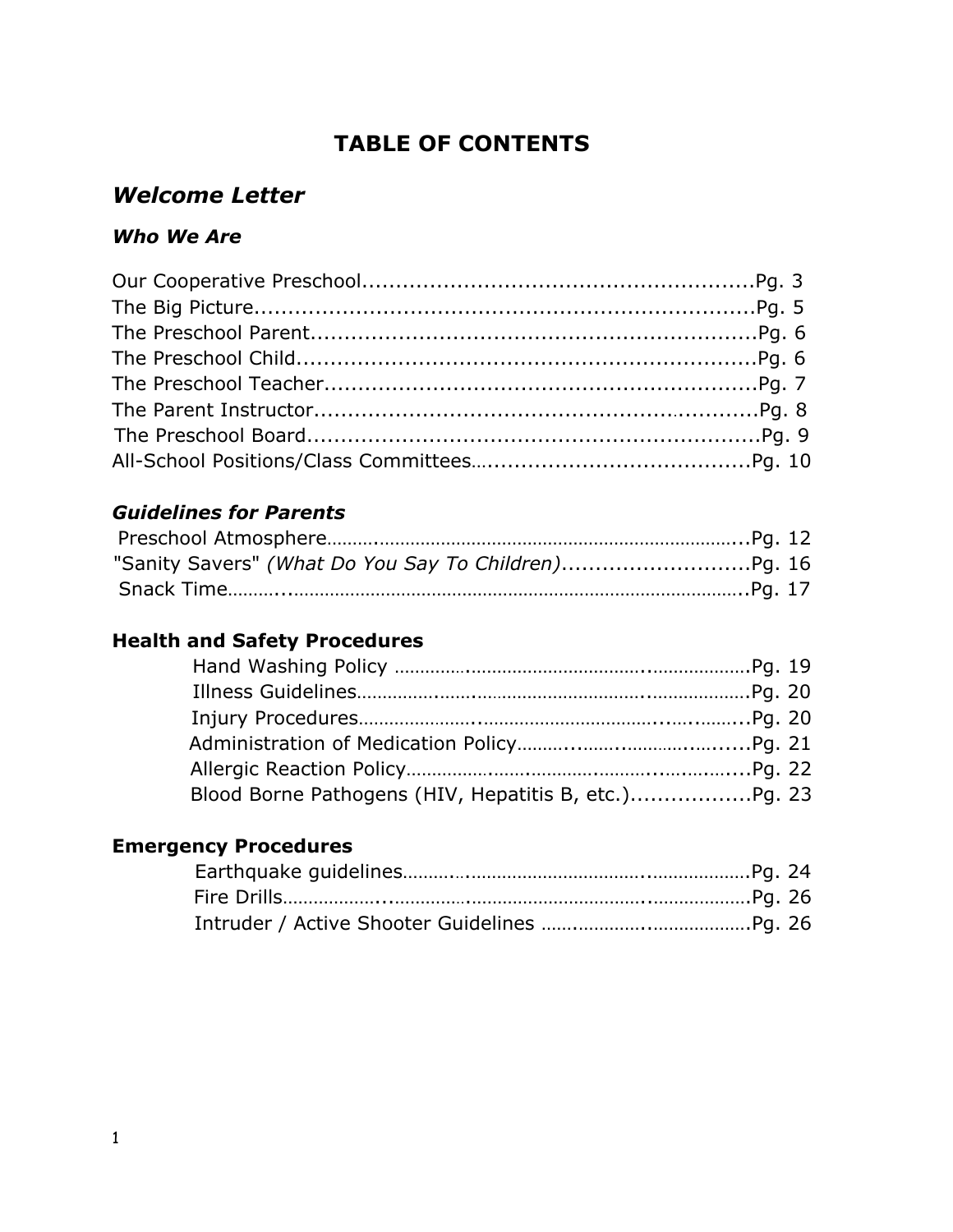# **TABLE OF CONTENTS**

## *Welcome Letter*

#### *Who We Are*

# *Guidelines for Parents*

| "Sanity Savers" (What Do You Say To Children)Pg. 16 |  |
|-----------------------------------------------------|--|
|                                                     |  |

## **Health and Safety Procedures**

#### **Emergency Procedures**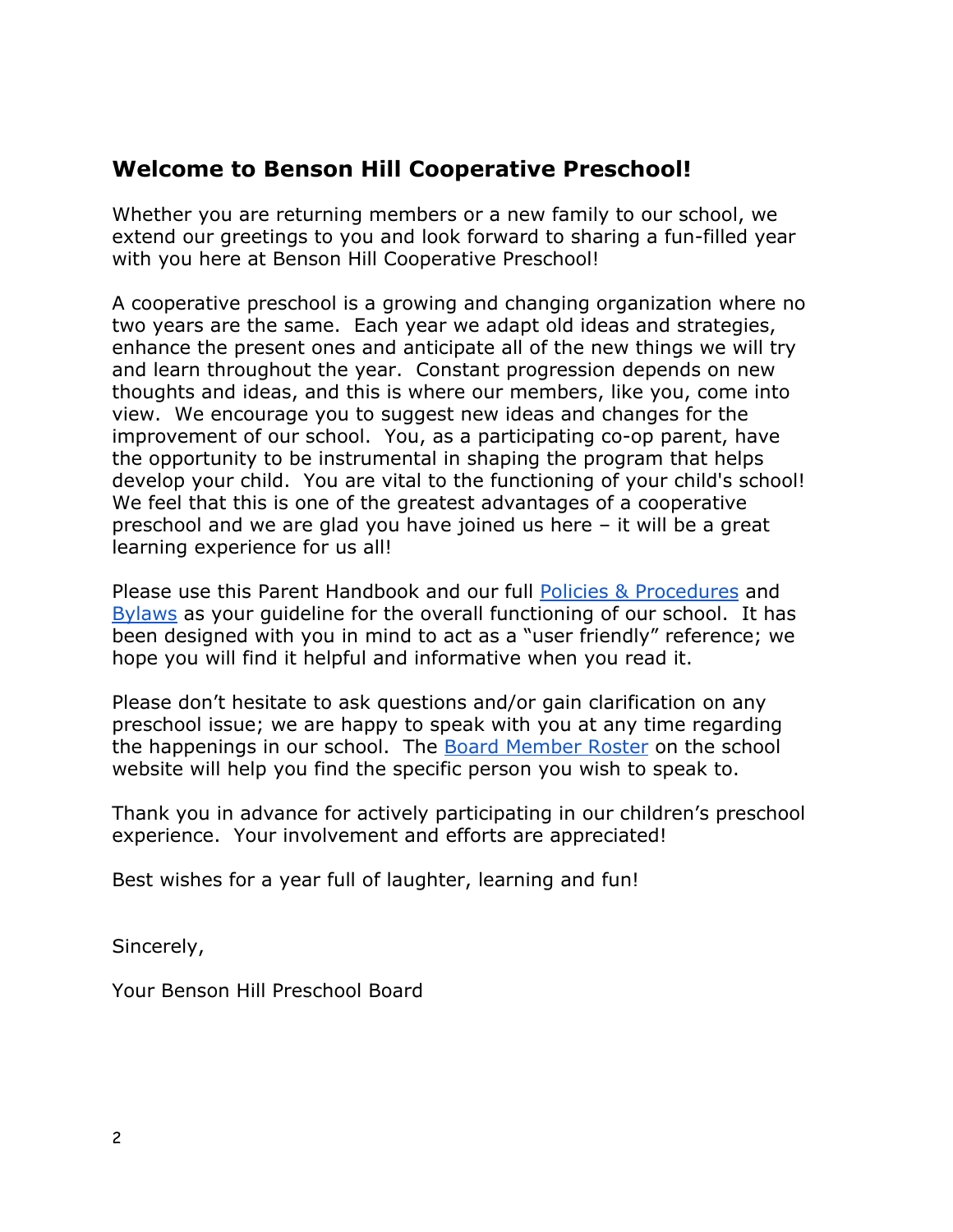### **Welcome to Benson Hill Cooperative Preschool!**

Whether you are returning members or a new family to our school, we extend our greetings to you and look forward to sharing a fun-filled year with you here at Benson Hill Cooperative Preschool!

A cooperative preschool is a growing and changing organization where no two years are the same. Each year we adapt old ideas and strategies, enhance the present ones and anticipate all of the new things we will try and learn throughout the year. Constant progression depends on new thoughts and ideas, and this is where our members, like you, come into view. We encourage you to suggest new ideas and changes for the improvement of our school. You, as a participating co-op parent, have the opportunity to be instrumental in shaping the program that helps develop your child. You are vital to the functioning of your child's school! We feel that this is one of the greatest advantages of a cooperative preschool and we are glad you have joined us here – it will be a great learning experience for us all!

Please use this Parent Handbook and our full [Policies & Procedures](http://docs.wixstatic.com/ugd/9ab5a4_a9768fe71ae04d9a81c96094aacf5e51.pdf) and [Bylaws](http://docs.wixstatic.com/ugd/9ab5a4_3b3da64bc8ac4a9d988212238bc8c35e.pdf) as your guideline for the overall functioning of our school. It has been designed with you in mind to act as a "user friendly" reference; we hope you will find it helpful and informative when you read it.

Please don't hesitate to ask questions and/or gain clarification on any preschool issue; we are happy to speak with you at any time regarding the happenings in our school. The [Board Member Roster](http://www.bensonhillcoop.org/meet-your-board) on the school website will help you find the specific person you wish to speak to.

Thank you in advance for actively participating in our children's preschool experience. Your involvement and efforts are appreciated!

Best wishes for a year full of laughter, learning and fun!

Sincerely,

Your Benson Hill Preschool Board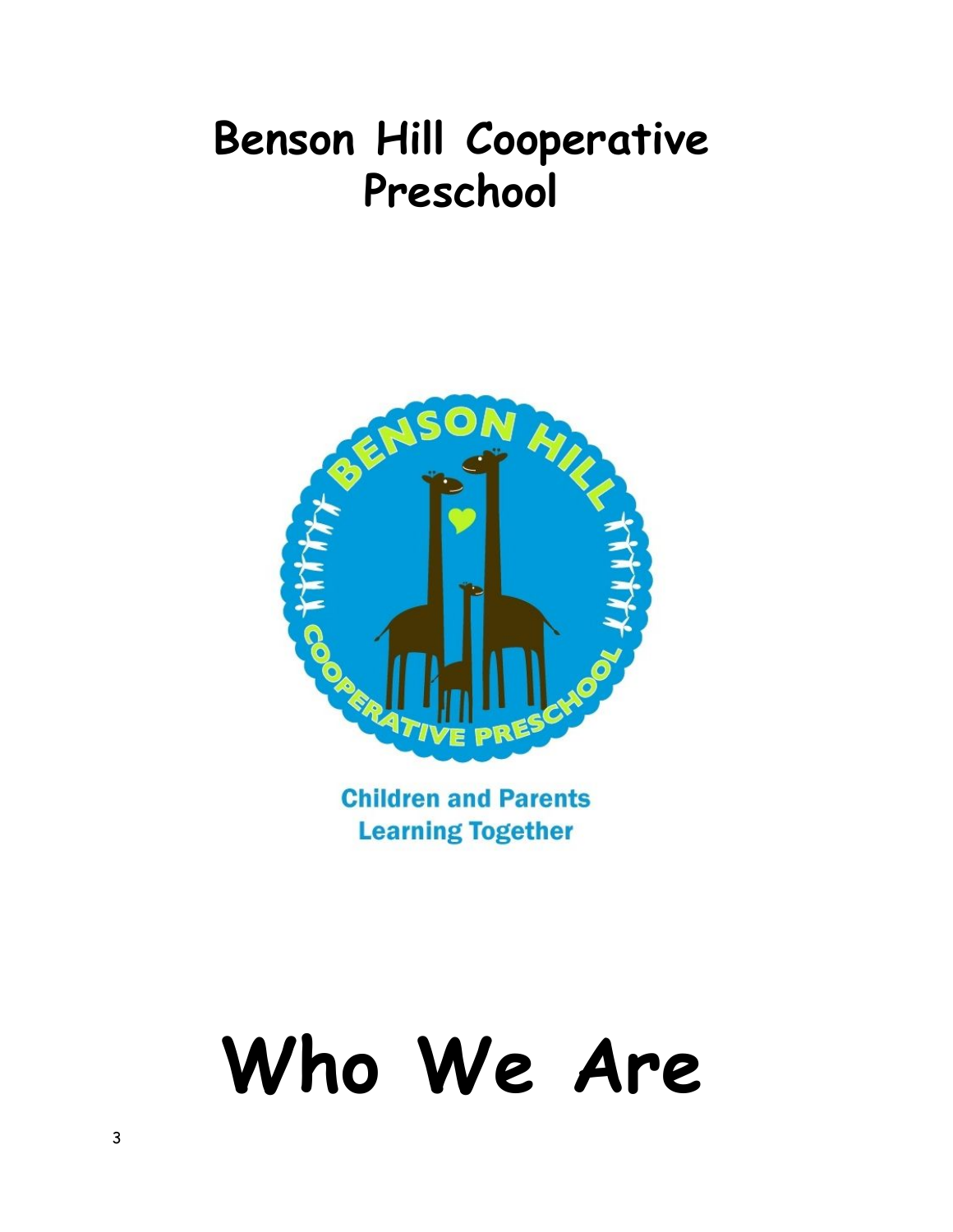# **Benson Hill Cooperative Preschool**



**Children and Parents Learning Together** 

# **Who We Are**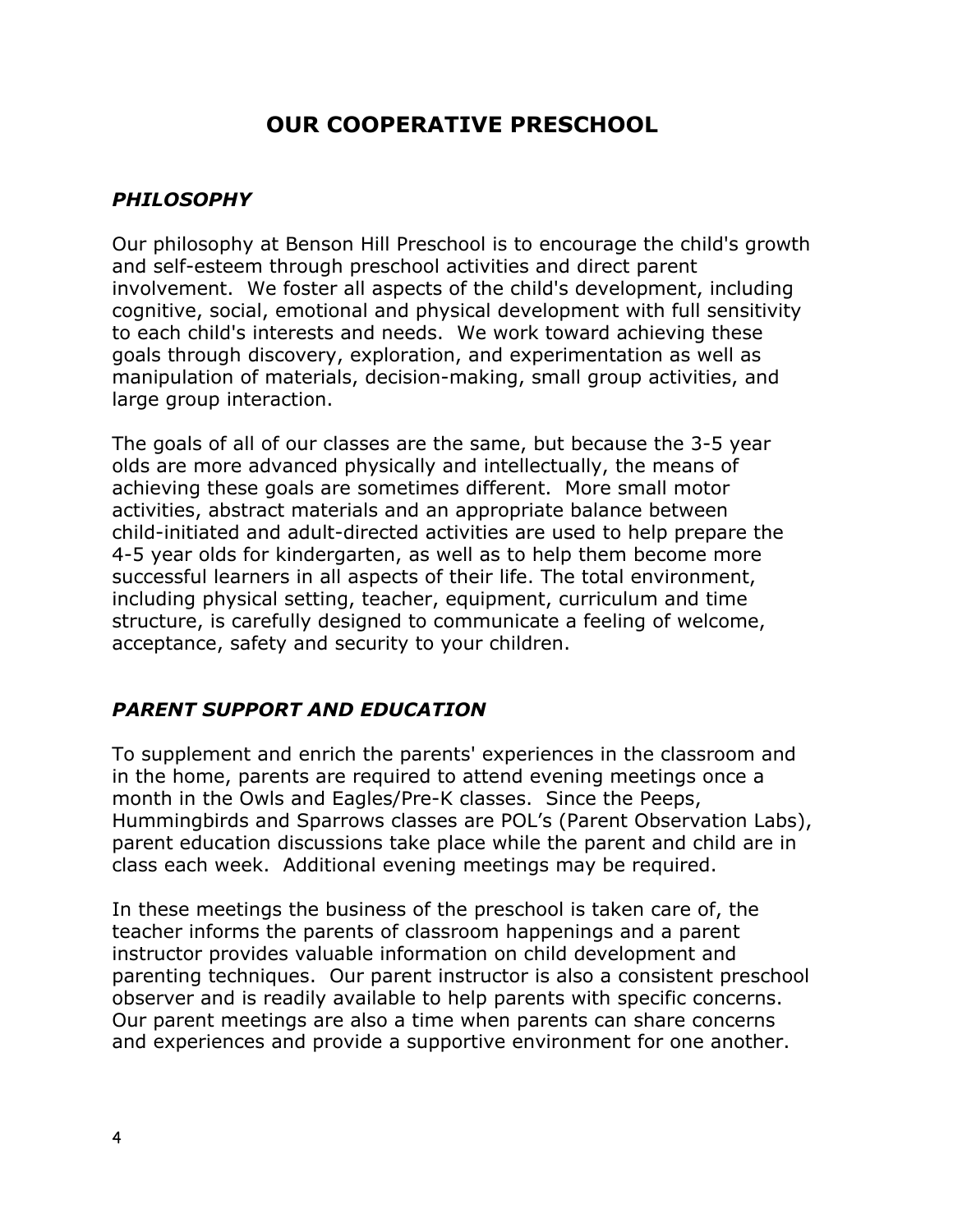# **OUR COOPERATIVE PRESCHOOL**

#### *PHILOSOPHY*

Our philosophy at Benson Hill Preschool is to encourage the child's growth and self-esteem through preschool activities and direct parent involvement. We foster all aspects of the child's development, including cognitive, social, emotional and physical development with full sensitivity to each child's interests and needs. We work toward achieving these goals through discovery, exploration, and experimentation as well as manipulation of materials, decision-making, small group activities, and large group interaction.

The goals of all of our classes are the same, but because the 3-5 year olds are more advanced physically and intellectually, the means of achieving these goals are sometimes different. More small motor activities, abstract materials and an appropriate balance between child-initiated and adult-directed activities are used to help prepare the 4-5 year olds for kindergarten, as well as to help them become more successful learners in all aspects of their life. The total environment, including physical setting, teacher, equipment, curriculum and time structure, is carefully designed to communicate a feeling of welcome, acceptance, safety and security to your children.

#### *PARENT SUPPORT AND EDUCATION*

To supplement and enrich the parents' experiences in the classroom and in the home, parents are required to attend evening meetings once a month in the Owls and Eagles/Pre-K classes. Since the Peeps, Hummingbirds and Sparrows classes are POL's (Parent Observation Labs), parent education discussions take place while the parent and child are in class each week. Additional evening meetings may be required.

In these meetings the business of the preschool is taken care of, the teacher informs the parents of classroom happenings and a parent instructor provides valuable information on child development and parenting techniques. Our parent instructor is also a consistent preschool observer and is readily available to help parents with specific concerns. Our parent meetings are also a time when parents can share concerns and experiences and provide a supportive environment for one another.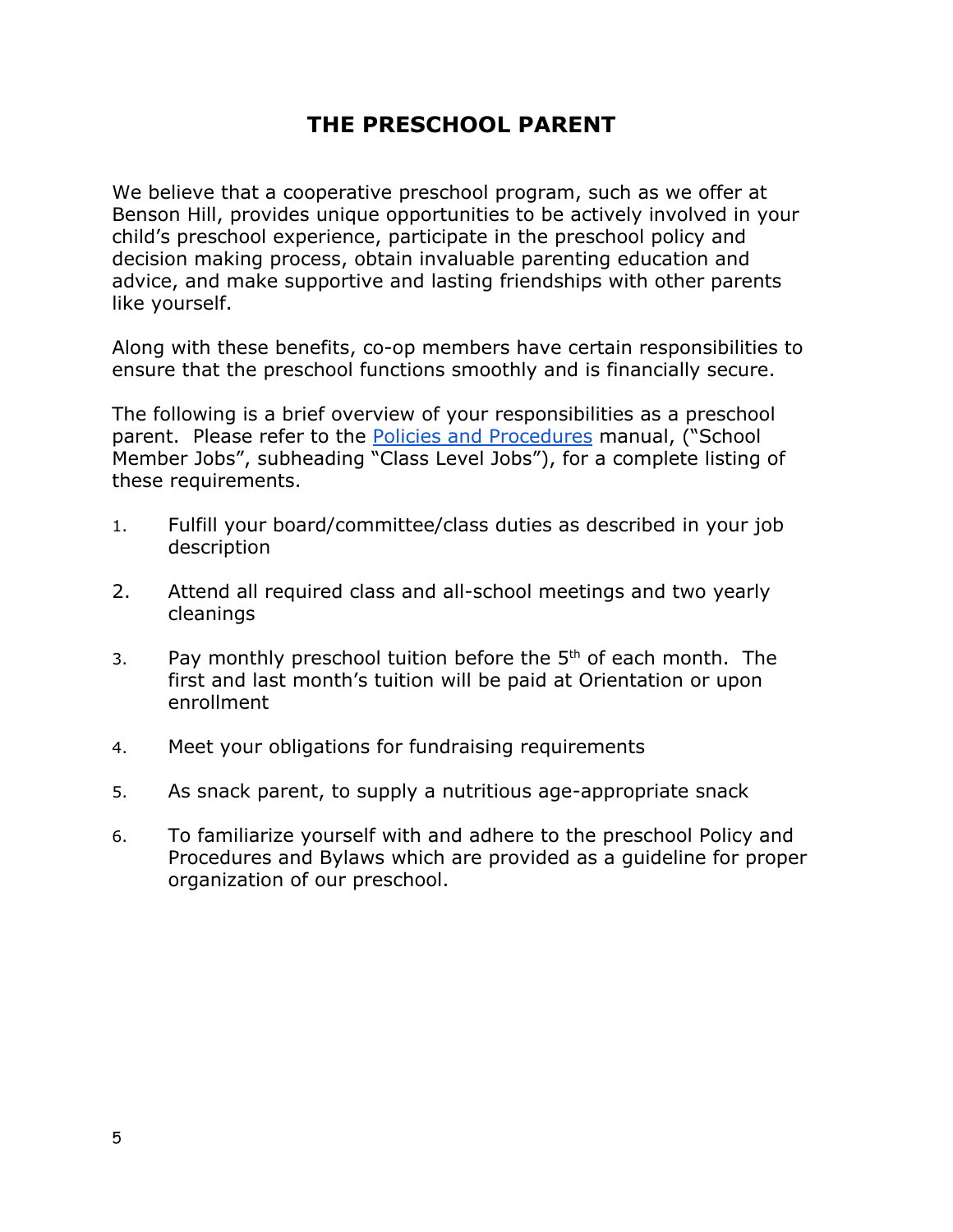# **THE PRESCHOOL PARENT**

We believe that a cooperative preschool program, such as we offer at Benson Hill, provides unique opportunities to be actively involved in your child's preschool experience, participate in the preschool policy and decision making process, obtain invaluable parenting education and advice, and make supportive and lasting friendships with other parents like yourself.

Along with these benefits, co-op members have certain responsibilities to ensure that the preschool functions smoothly and is financially secure.

The following is a brief overview of your responsibilities as a preschool parent. Please refer to the [Policies and Procedures](http://docs.wixstatic.com/ugd/9ab5a4_a9768fe71ae04d9a81c96094aacf5e51.pdf) manual, ("School Member Jobs", subheading "Class Level Jobs"), for a complete listing of these requirements.

- 1. Fulfill your board/committee/class duties as described in your job description
- 2. Attend all required class and all-school meetings and two yearly cleanings
- 3. Pay monthly preschool tuition before the  $5<sup>th</sup>$  of each month. The first and last month's tuition will be paid at Orientation or upon enrollment
- 4. Meet your obligations for fundraising requirements
- 5. As snack parent, to supply a nutritious age-appropriate snack
- 6. To familiarize yourself with and adhere to the preschool Policy and Procedures and Bylaws which are provided as a guideline for proper organization of our preschool.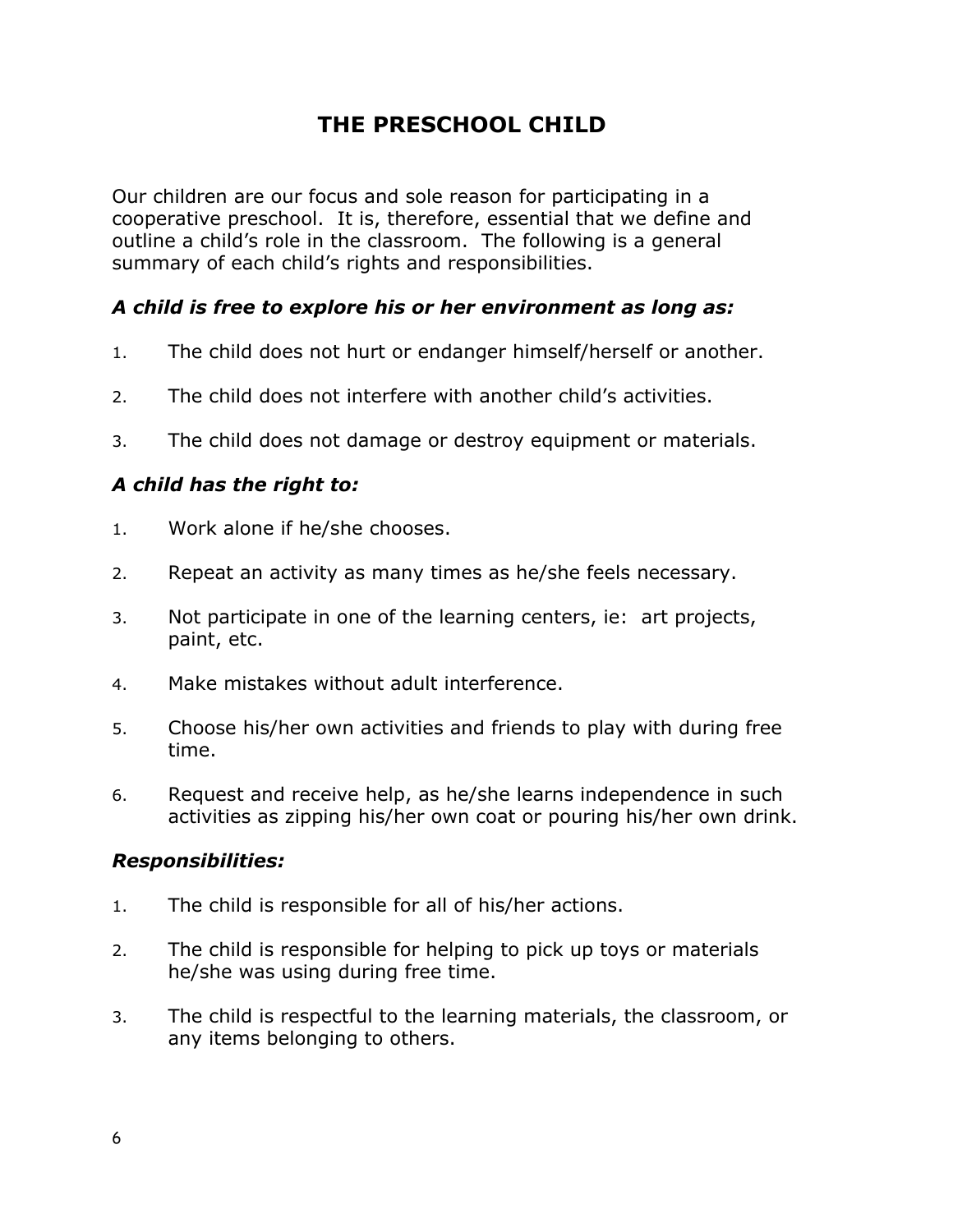# **THE PRESCHOOL CHILD**

Our children are our focus and sole reason for participating in a cooperative preschool. It is, therefore, essential that we define and outline a child's role in the classroom. The following is a general summary of each child's rights and responsibilities.

#### *A child is free to explore his or her environment as long as:*

- 1. The child does not hurt or endanger himself/herself or another.
- 2. The child does not interfere with another child's activities.
- 3. The child does not damage or destroy equipment or materials.

#### *A child has the right to:*

- 1. Work alone if he/she chooses.
- 2. Repeat an activity as many times as he/she feels necessary.
- 3. Not participate in one of the learning centers, ie: art projects, paint, etc.
- 4. Make mistakes without adult interference.
- 5. Choose his/her own activities and friends to play with during free time.
- 6. Request and receive help, as he/she learns independence in such activities as zipping his/her own coat or pouring his/her own drink.

#### *Responsibilities:*

- 1. The child is responsible for all of his/her actions.
- 2. The child is responsible for helping to pick up toys or materials he/she was using during free time.
- 3. The child is respectful to the learning materials, the classroom, or any items belonging to others.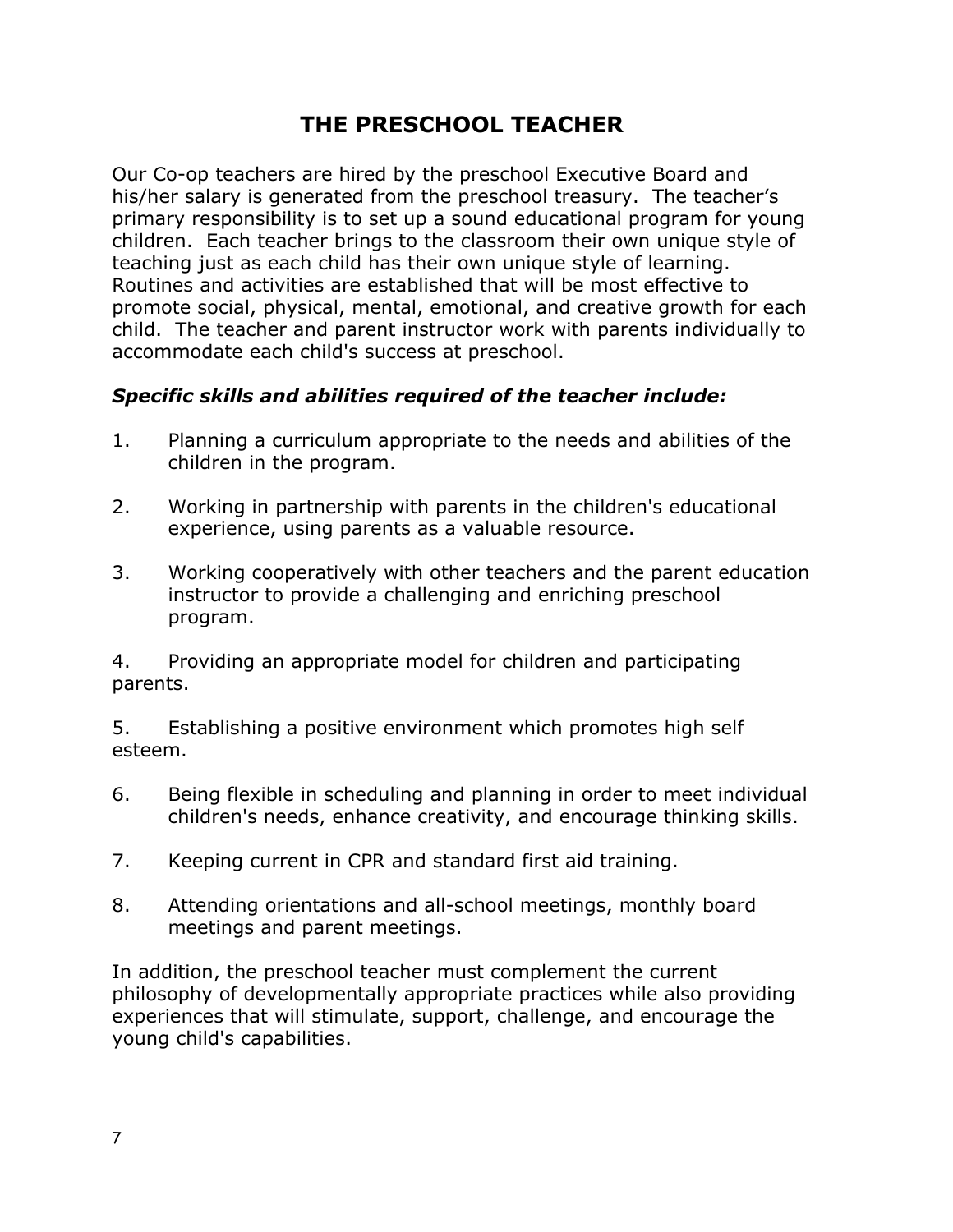# **THE PRESCHOOL TEACHER**

Our Co-op teachers are hired by the preschool Executive Board and his/her salary is generated from the preschool treasury. The teacher's primary responsibility is to set up a sound educational program for young children. Each teacher brings to the classroom their own unique style of teaching just as each child has their own unique style of learning. Routines and activities are established that will be most effective to promote social, physical, mental, emotional, and creative growth for each child. The teacher and parent instructor work with parents individually to accommodate each child's success at preschool.

#### *Specific skills and abilities required of the teacher include:*

- 1. Planning a curriculum appropriate to the needs and abilities of the children in the program.
- 2. Working in partnership with parents in the children's educational experience, using parents as a valuable resource.
- 3. Working cooperatively with other teachers and the parent education instructor to provide a challenging and enriching preschool program.

4. Providing an appropriate model for children and participating parents.

5. Establishing a positive environment which promotes high self esteem.

- 6. Being flexible in scheduling and planning in order to meet individual children's needs, enhance creativity, and encourage thinking skills.
- 7. Keeping current in CPR and standard first aid training.
- 8. Attending orientations and all-school meetings, monthly board meetings and parent meetings.

In addition, the preschool teacher must complement the current philosophy of developmentally appropriate practices while also providing experiences that will stimulate, support, challenge, and encourage the young child's capabilities.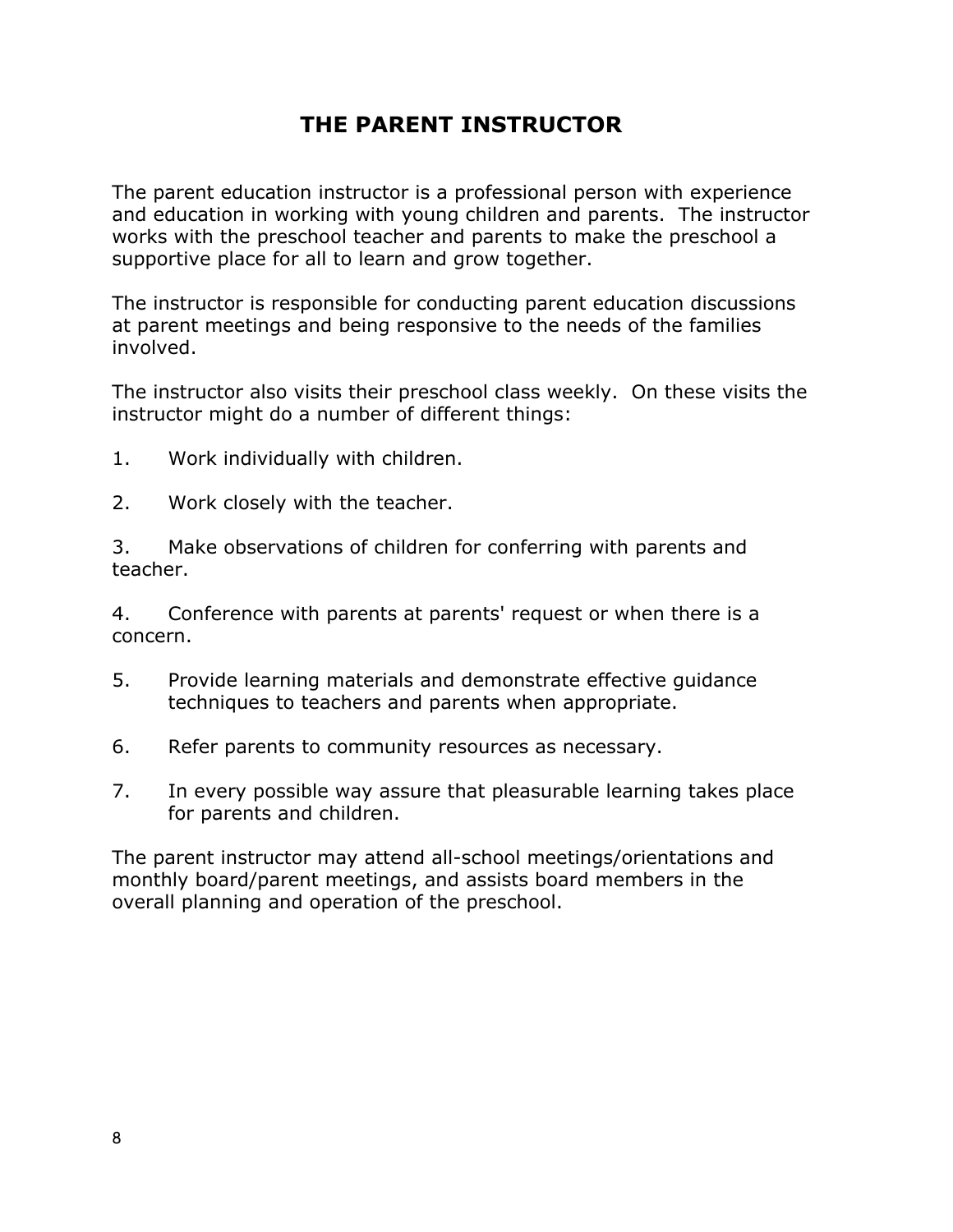# **THE PARENT INSTRUCTOR**

The parent education instructor is a professional person with experience and education in working with young children and parents. The instructor works with the preschool teacher and parents to make the preschool a supportive place for all to learn and grow together.

The instructor is responsible for conducting parent education discussions at parent meetings and being responsive to the needs of the families involved.

The instructor also visits their preschool class weekly. On these visits the instructor might do a number of different things:

- 1. Work individually with children.
- 2. Work closely with the teacher.

3. Make observations of children for conferring with parents and teacher.

4. Conference with parents at parents' request or when there is a concern.

- 5. Provide learning materials and demonstrate effective guidance techniques to teachers and parents when appropriate.
- 6. Refer parents to community resources as necessary.
- 7. In every possible way assure that pleasurable learning takes place for parents and children.

The parent instructor may attend all-school meetings/orientations and monthly board/parent meetings, and assists board members in the overall planning and operation of the preschool.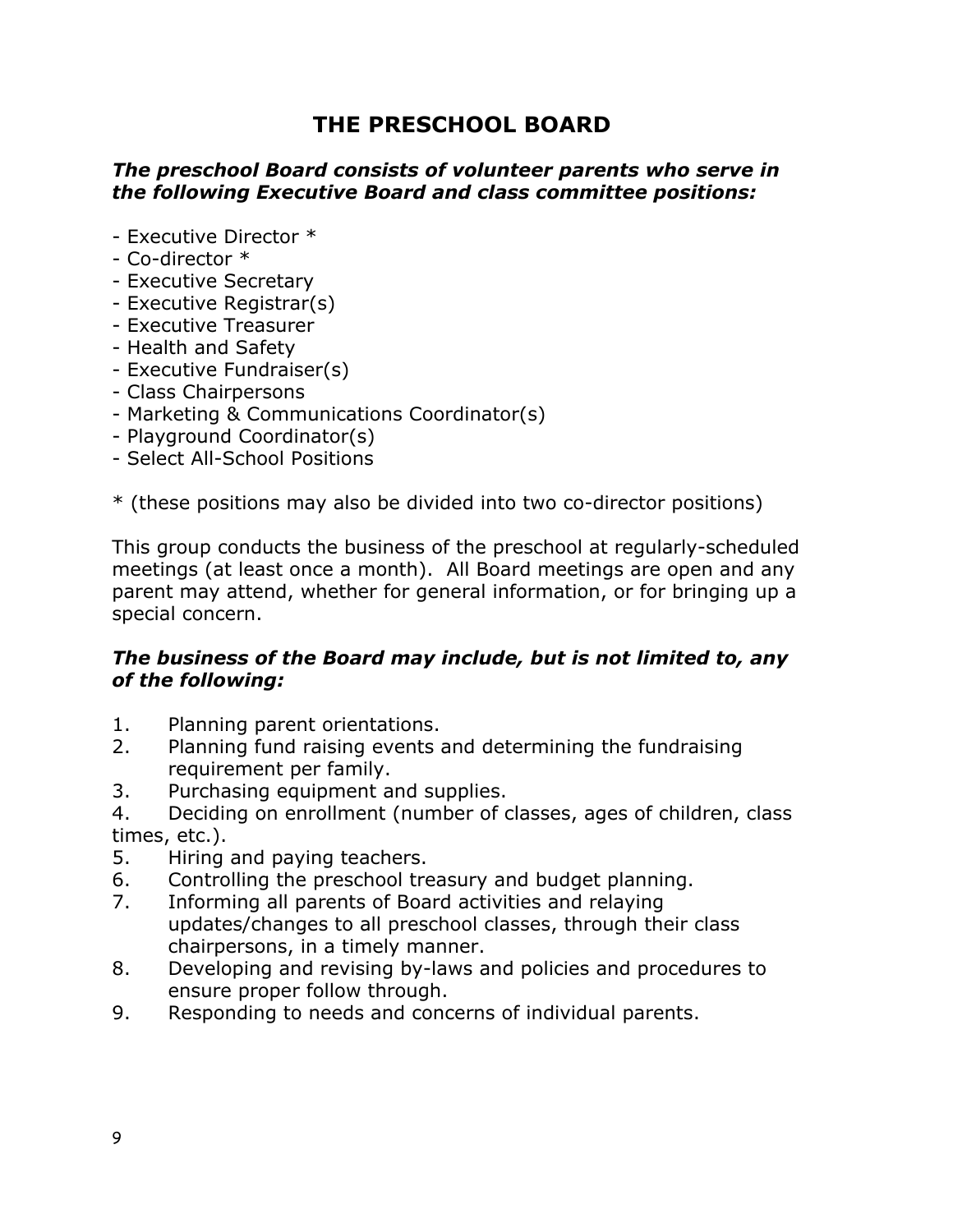## **THE PRESCHOOL BOARD**

#### *The preschool Board consists of volunteer parents who serve in the following Executive Board and class committee positions:*

- Executive Director \*
- Co-director \*
- Executive Secretary
- Executive Registrar(s)
- Executive Treasurer
- Health and Safety
- Executive Fundraiser(s)
- Class Chairpersons
- Marketing & Communications Coordinator(s)
- Playground Coordinator(s)
- Select All-School Positions

\* (these positions may also be divided into two co-director positions)

This group conducts the business of the preschool at regularly-scheduled meetings (at least once a month). All Board meetings are open and any parent may attend, whether for general information, or for bringing up a special concern.

#### *The business of the Board may include, but is not limited to, any of the following:*

- 1. Planning parent orientations.
- 2. Planning fund raising events and determining the fundraising requirement per family.
- 3. Purchasing equipment and supplies.
- 4. Deciding on enrollment (number of classes, ages of children, class times, etc.).
- 5. Hiring and paying teachers.
- 6. Controlling the preschool treasury and budget planning.
- 7. Informing all parents of Board activities and relaying updates/changes to all preschool classes, through their class chairpersons, in a timely manner.
- 8. Developing and revising by-laws and policies and procedures to ensure proper follow through.
- 9. Responding to needs and concerns of individual parents.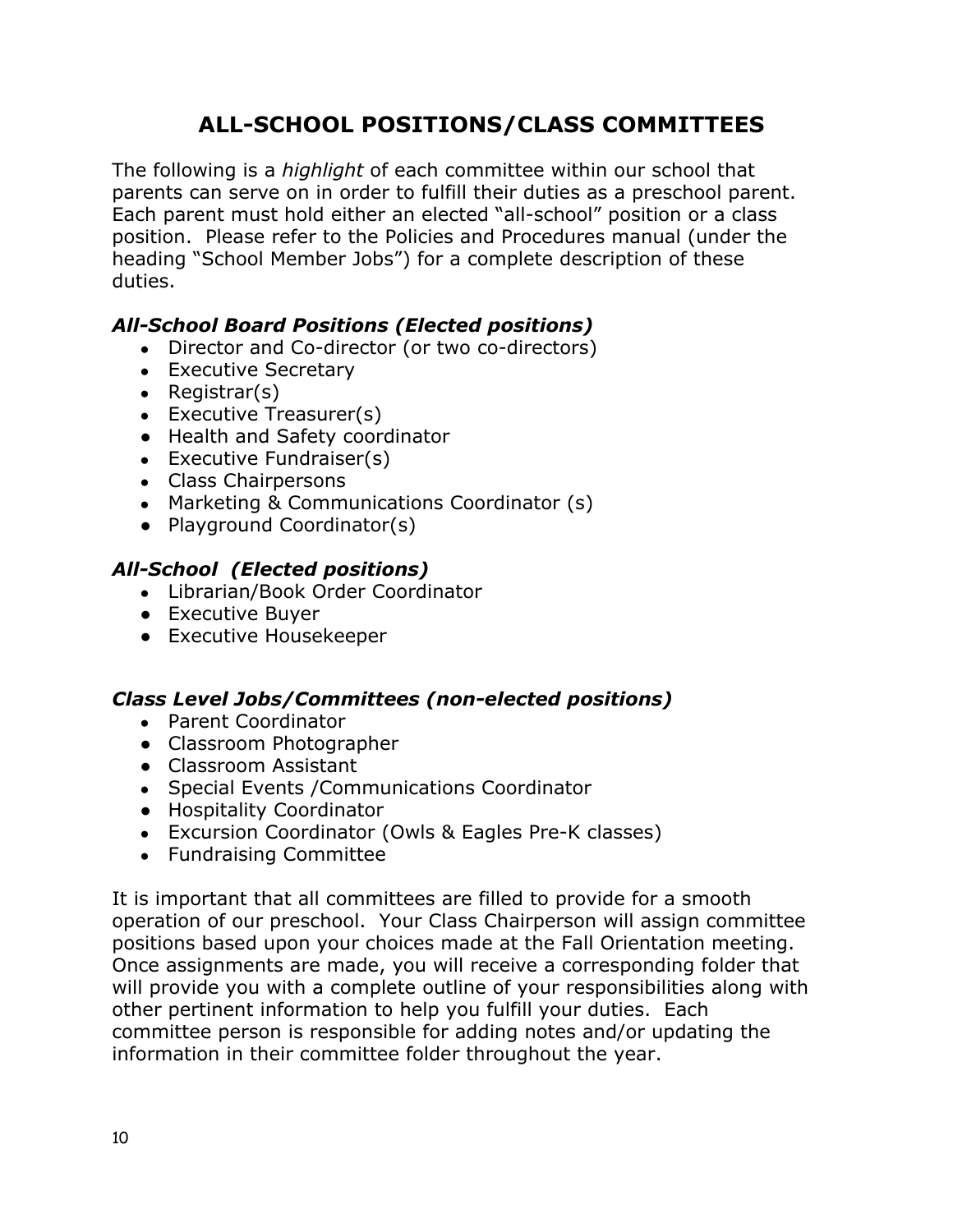# **ALL-SCHOOL POSITIONS/CLASS COMMITTEES**

The following is a *highlight* of each committee within our school that parents can serve on in order to fulfill their duties as a preschool parent. Each parent must hold either an elected "all-school" position or a class position. Please refer to the Policies and Procedures manual (under the heading "School Member Jobs") for a complete description of these duties.

#### *All-School Board Positions (Elected positions)*

- Director and Co-director (or two co-directors)
- Executive Secretary
- Registrar $(s)$
- $\bullet$  Executive Treasurer(s)
- Health and Safety coordinator
- $\bullet$  Executive Fundraiser(s)
- Class Chairpersons
- Marketing & Communications Coordinator (s)
- Playground Coordinator(s)

#### *All-School (Elected positions)*

- Librarian/Book Order Coordinator
- Executive Buyer
- Executive Housekeeper

#### *Class Level Jobs/Committees (non-elected positions)*

- Parent Coordinator
- Classroom Photographer
- Classroom Assistant
- Special Events / Communications Coordinator
- Hospitality Coordinator
- Excursion Coordinator (Owls & Eagles Pre-K classes)
- Fundraising Committee

It is important that all committees are filled to provide for a smooth operation of our preschool. Your Class Chairperson will assign committee positions based upon your choices made at the Fall Orientation meeting. Once assignments are made, you will receive a corresponding folder that will provide you with a complete outline of your responsibilities along with other pertinent information to help you fulfill your duties. Each committee person is responsible for adding notes and/or updating the information in their committee folder throughout the year.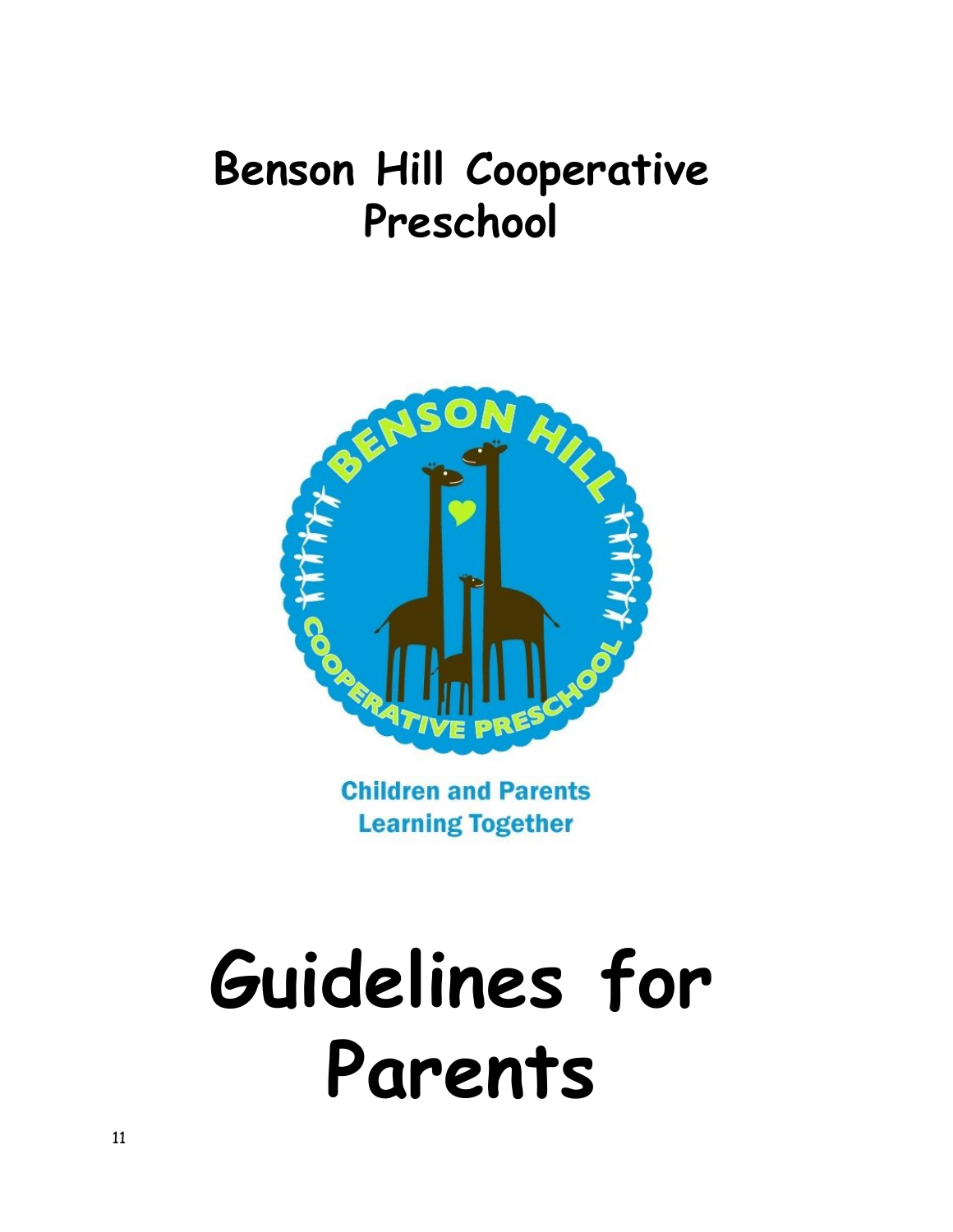# **Benson Hill Cooperative Preschool**



**Children and Parents Learning Together** 

# **Guidelines for Parents**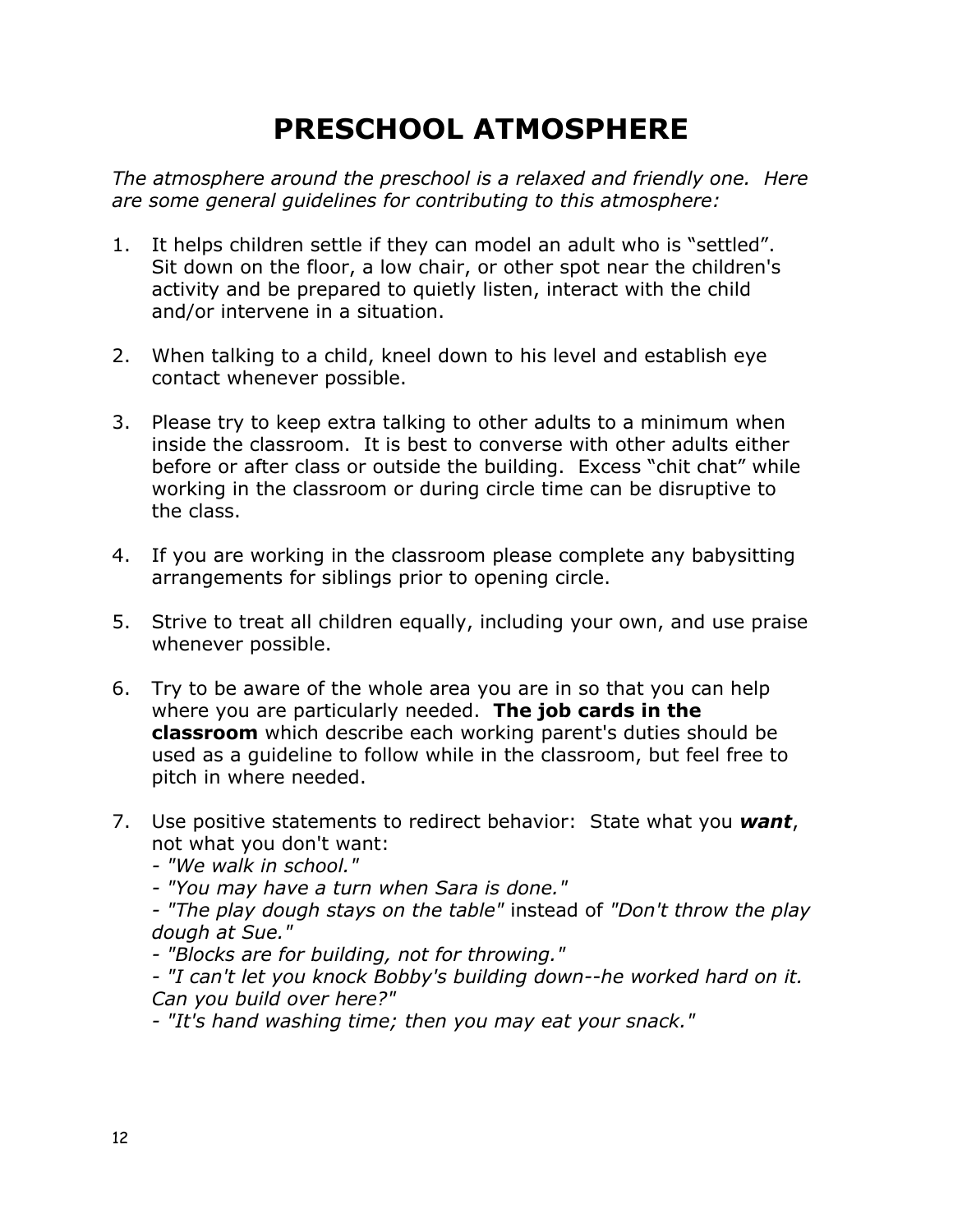# **PRESCHOOL ATMOSPHERE**

*The atmosphere around the preschool is a relaxed and friendly one. Here are some general guidelines for contributing to this atmosphere:*

- 1. It helps children settle if they can model an adult who is "settled". Sit down on the floor, a low chair, or other spot near the children's activity and be prepared to quietly listen, interact with the child and/or intervene in a situation.
- 2. When talking to a child, kneel down to his level and establish eye contact whenever possible.
- 3. Please try to keep extra talking to other adults to a minimum when inside the classroom. It is best to converse with other adults either before or after class or outside the building. Excess "chit chat" while working in the classroom or during circle time can be disruptive to the class.
- 4. If you are working in the classroom please complete any babysitting arrangements for siblings prior to opening circle.
- 5. Strive to treat all children equally, including your own, and use praise whenever possible.
- 6. Try to be aware of the whole area you are in so that you can help where you are particularly needed. **The job cards in the classroom** which describe each working parent's duties should be used as a guideline to follow while in the classroom, but feel free to pitch in where needed.
- 7. Use positive statements to redirect behavior: State what you *want*, not what you don't want:
	- *"We walk in school."*
	- *"You may have a turn when Sara is done."*

*- "The play dough stays on the table"* instead of *"Don't throw the play dough at Sue."*

*- "Blocks are for building, not for throwing."*

*- "I can't let you knock Bobby's building down--he worked hard on it. Can you build over here?"*

*- "It's hand washing time; then you may eat your snack."*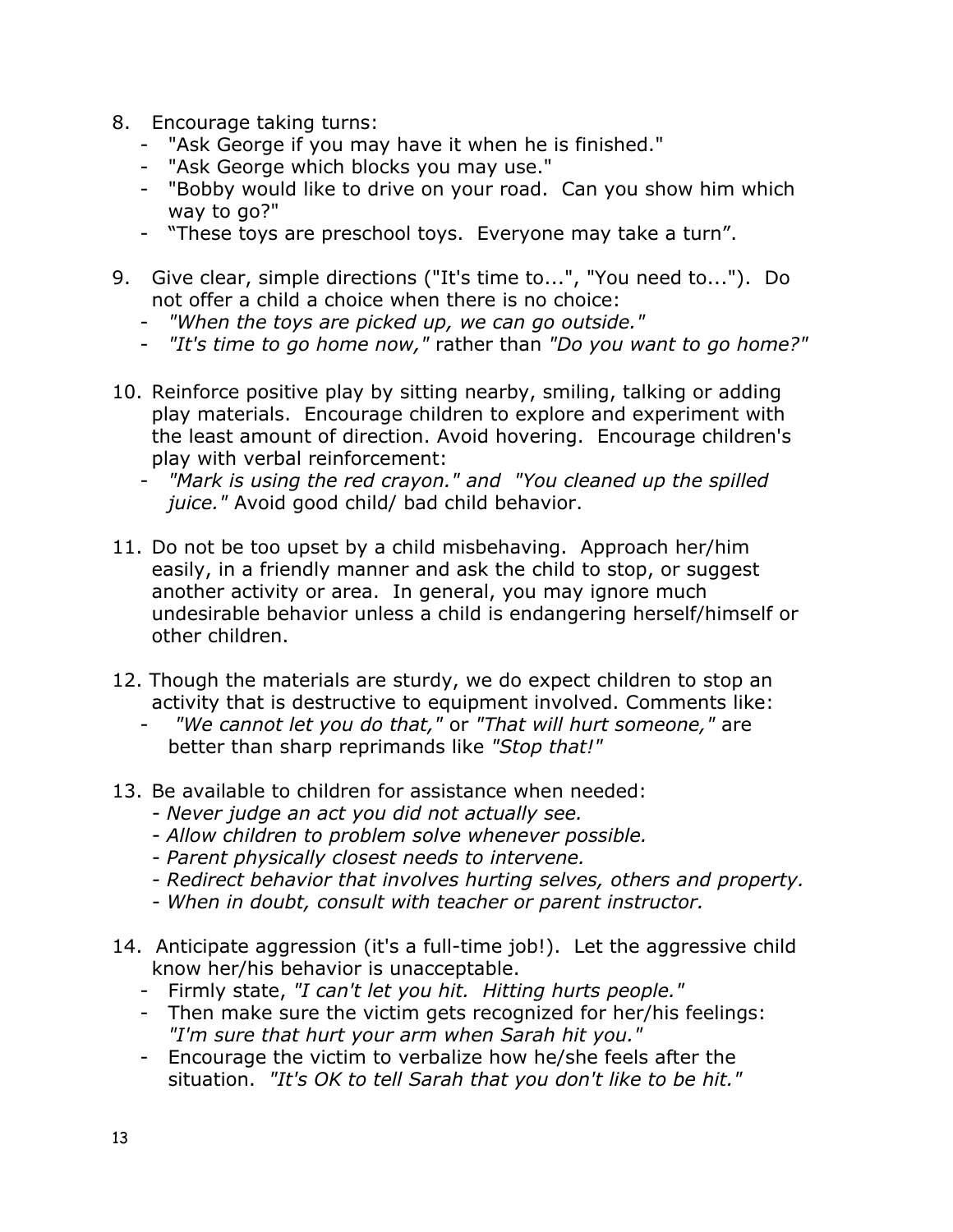- 8. Encourage taking turns:
	- "Ask George if you may have it when he is finished."
	- "Ask George which blocks you may use."
	- "Bobby would like to drive on your road. Can you show him which way to go?"
	- "These toys are preschool toys. Everyone may take a turn".
- 9. Give clear, simple directions ("It's time to...", "You need to..."). Do not offer a child a choice when there is no choice:
	- *"When the toys are picked up, we can go outside."*
	- *"It's time to go home now,"* rather than *"Do you want to go home?"*
- 10. Reinforce positive play by sitting nearby, smiling, talking or adding play materials. Encourage children to explore and experiment with the least amount of direction. Avoid hovering. Encourage children's play with verbal reinforcement:
	- *"Mark is using the red crayon." and "You cleaned up the spilled juice."* Avoid good child/ bad child behavior.
- 11. Do not be too upset by a child misbehaving. Approach her/him easily, in a friendly manner and ask the child to stop, or suggest another activity or area. In general, you may ignore much undesirable behavior unless a child is endangering herself/himself or other children.
- 12. Though the materials are sturdy, we do expect children to stop an activity that is destructive to equipment involved. Comments like:
	- *"We cannot let you do that,"* or *"That will hurt someone,"* are better than sharp reprimands like *"Stop that!"*
- 13. Be available to children for assistance when needed:
	- *Never judge an act you did not actually see.*
	- *Allow children to problem solve whenever possible.*
	- *Parent physically closest needs to intervene.*
	- *Redirect behavior that involves hurting selves, others and property.*
	- *When in doubt, consult with teacher or parent instructor.*
- 14. Anticipate aggression (it's a full-time job!). Let the aggressive child know her/his behavior is unacceptable.
	- Firmly state, *"I can't let you hit. Hitting hurts people."*
	- Then make sure the victim gets recognized for her/his feelings: *"I'm sure that hurt your arm when Sarah hit you."*
	- Encourage the victim to verbalize how he/she feels after the situation. *"It's OK to tell Sarah that you don't like to be hit."*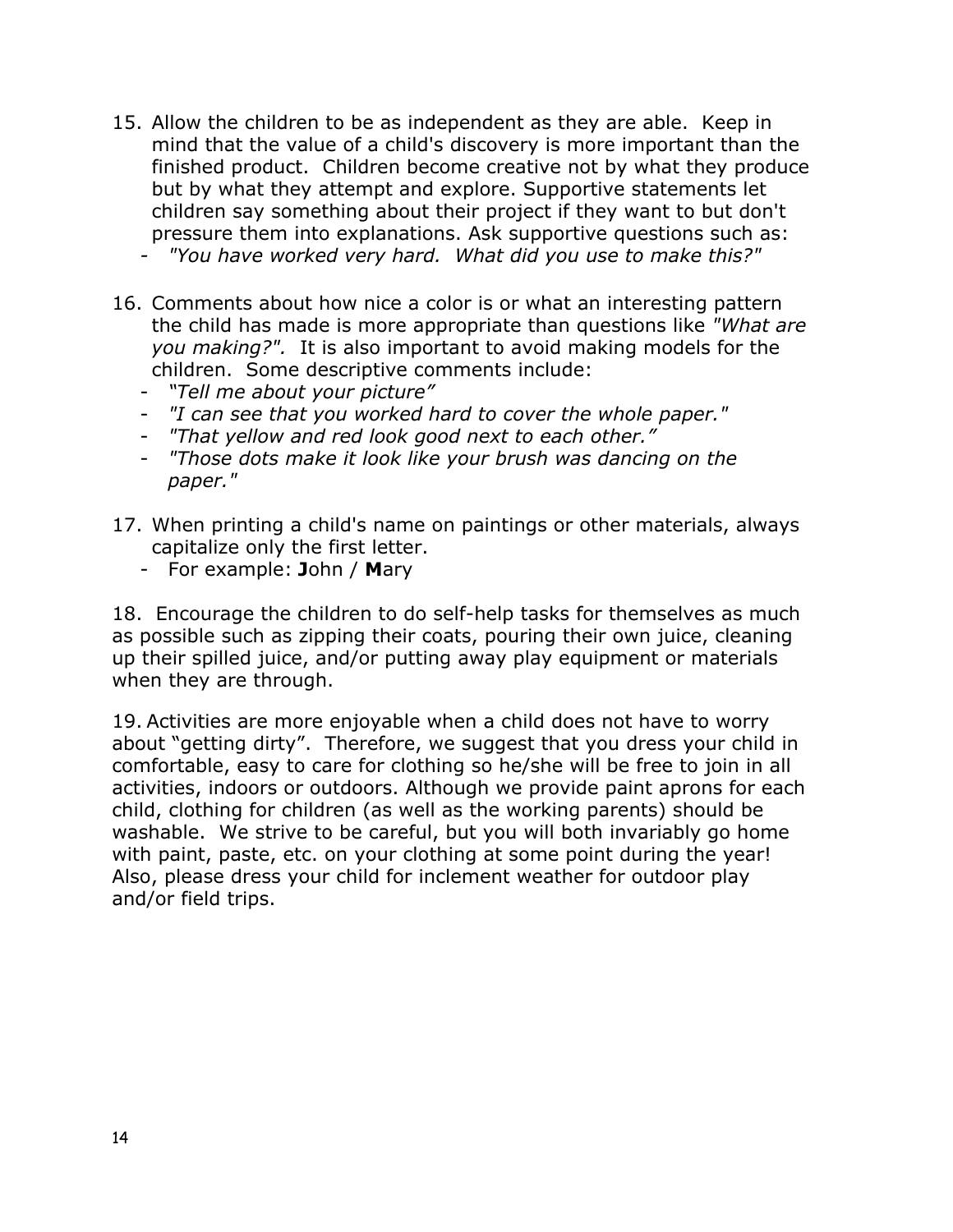- 15. Allow the children to be as independent as they are able. Keep in mind that the value of a child's discovery is more important than the finished product. Children become creative not by what they produce but by what they attempt and explore. Supportive statements let children say something about their project if they want to but don't pressure them into explanations. Ask supportive questions such as:
	- *- "You have worked very hard. What did you use to make this?"*
- 16. Comments about how nice a color is or what an interesting pattern the child has made is more appropriate than questions like *"What are you making?".* It is also important to avoid making models for the children. Some descriptive comments include:
	- *"Tell me about your picture"*
	- *"I can see that you worked hard to cover the whole paper."*
	- *"That yellow and red look good next to each other."*
	- *"Those dots make it look like your brush was dancing on the paper."*
- 17. When printing a child's name on paintings or other materials, always capitalize only the first letter.
	- For example: **J**ohn / **M**ary

18. Encourage the children to do self-help tasks for themselves as much as possible such as zipping their coats, pouring their own juice, cleaning up their spilled juice, and/or putting away play equipment or materials when they are through.

19. Activities are more enjoyable when a child does not have to worry about "getting dirty". Therefore, we suggest that you dress your child in comfortable, easy to care for clothing so he/she will be free to join in all activities, indoors or outdoors. Although we provide paint aprons for each child, clothing for children (as well as the working parents) should be washable. We strive to be careful, but you will both invariably go home with paint, paste, etc. on your clothing at some point during the year! Also, please dress your child for inclement weather for outdoor play and/or field trips.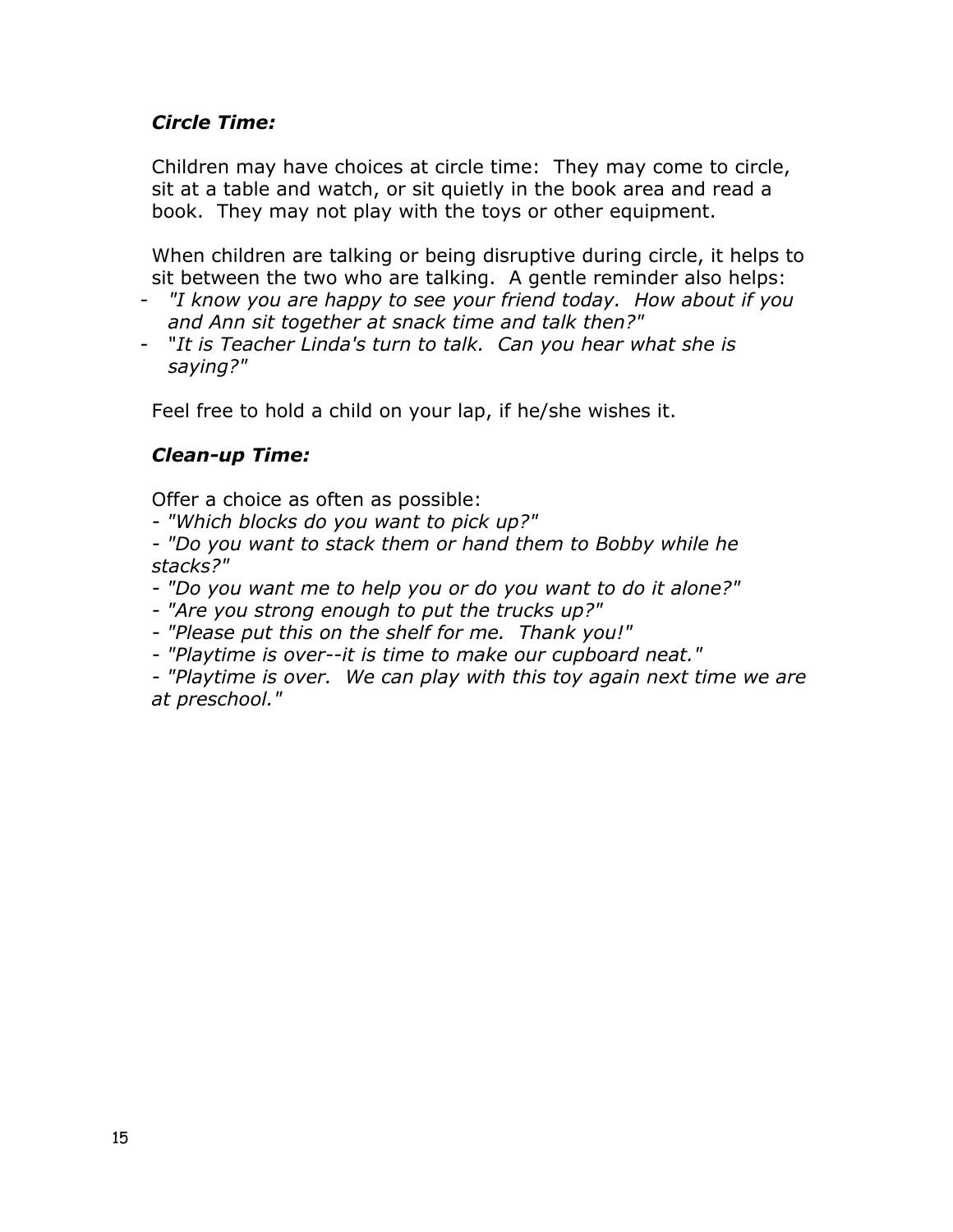#### *Circle Time:*

Children may have choices at circle time: They may come to circle, sit at a table and watch, or sit quietly in the book area and read a book. They may not play with the toys or other equipment.

When children are talking or being disruptive during circle, it helps to sit between the two who are talking. A gentle reminder also helps:

- *"I know you are happy to see your friend today. How about if you and Ann sit together at snack time and talk then?"*
- "*It is Teacher Linda's turn to talk. Can you hear what she is saying?"*

Feel free to hold a child on your lap, if he/she wishes it.

#### *Clean-up Time:*

Offer a choice as often as possible:

*- "Which blocks do you want to pick up?"*

*- "Do you want to stack them or hand them to Bobby while he stacks?"*

- *"Do you want me to help you or do you want to do it alone?"*
- *"Are you strong enough to put the trucks up?"*
- *"Please put this on the shelf for me. Thank you!"*
- *"Playtime is over--it is time to make our cupboard neat."*
- *"Playtime is over. We can play with this toy again next time we are at preschool."*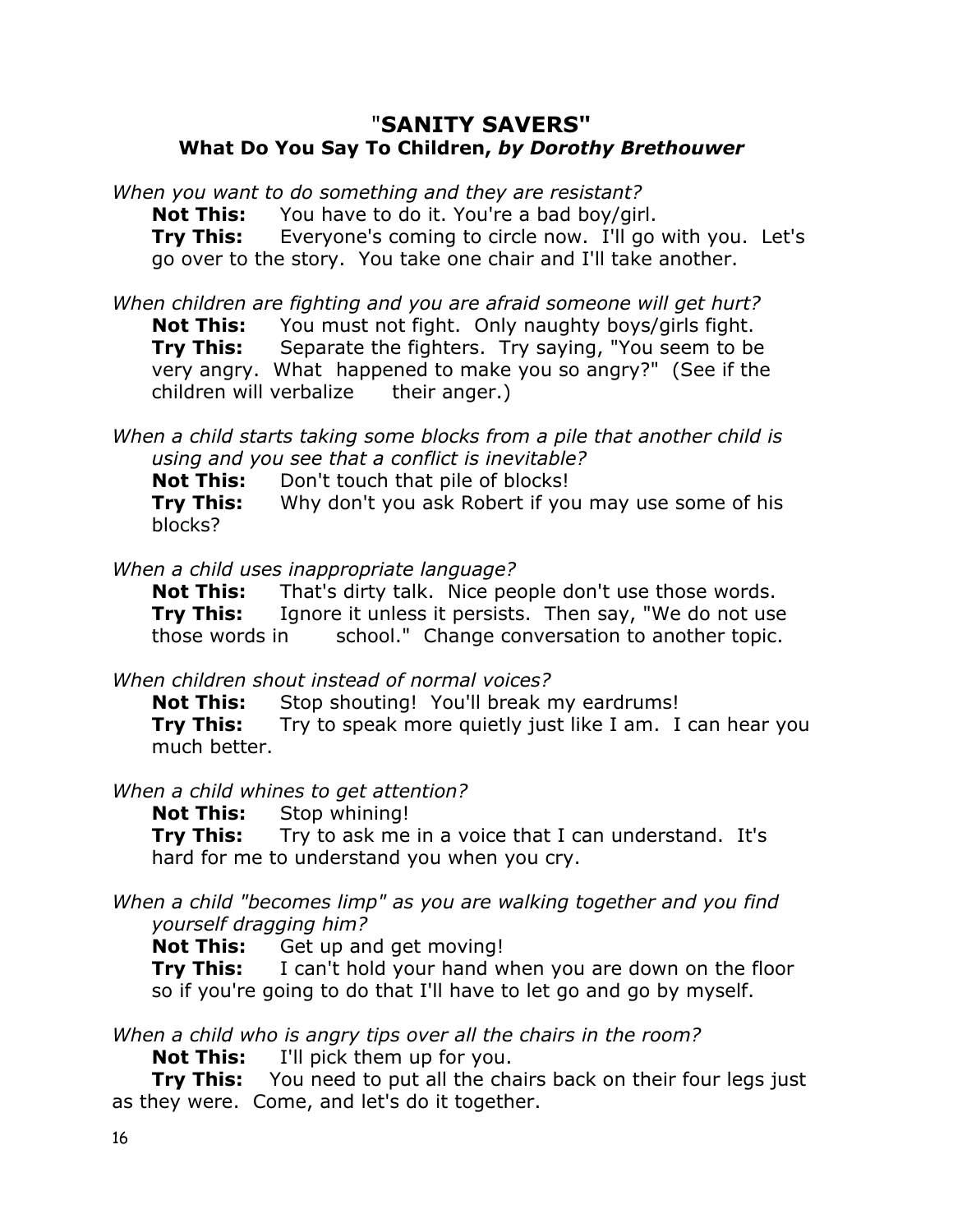#### "**SANITY SAVERS" What Do You Say To Children,** *by Dorothy Brethouwer*

*When you want to do something and they are resistant?*

**Not This:** You have to do it. You're a bad boy/girl.

**Try This:** Everyone's coming to circle now. I'll go with you. Let's go over to the story. You take one chair and I'll take another.

*When children are fighting and you are afraid someone will get hurt?*

**Not This:** You must not fight. Only naughty boys/girls fight.

**Try This:** Separate the fighters. Try saying, "You seem to be very angry. What happened to make you so angry?" (See if the children will verbalize their anger.)

*When a child starts taking some blocks from a pile that another child is using and you see that a conflict is inevitable?*

**Not This:** Don't touch that pile of blocks!

**Try This:** Why don't you ask Robert if you may use some of his blocks?

*When a child uses inappropriate language?*

**Not This:** That's dirty talk. Nice people don't use those words. **Try This:** Ignore it unless it persists. Then say, "We do not use those words in school." Change conversation to another topic.

*When children shout instead of normal voices?*

**Not This:** Stop shouting! You'll break my eardrums!

**Try This:** Try to speak more quietly just like I am. I can hear you much better.

*When a child whines to get attention?*

**Not This:** Stop whining!

**Try This:** Try to ask me in a voice that I can understand. It's hard for me to understand you when you cry.

*When a child "becomes limp" as you are walking together and you find yourself dragging him?*

**Not This:** Get up and get moving!

**Try This:** I can't hold your hand when you are down on the floor so if you're going to do that I'll have to let go and go by myself.

*When a child who is angry tips over all the chairs in the room?*

**Not This:** I'll pick them up for you.

**Try This:** You need to put all the chairs back on their four legs just as they were. Come, and let's do it together.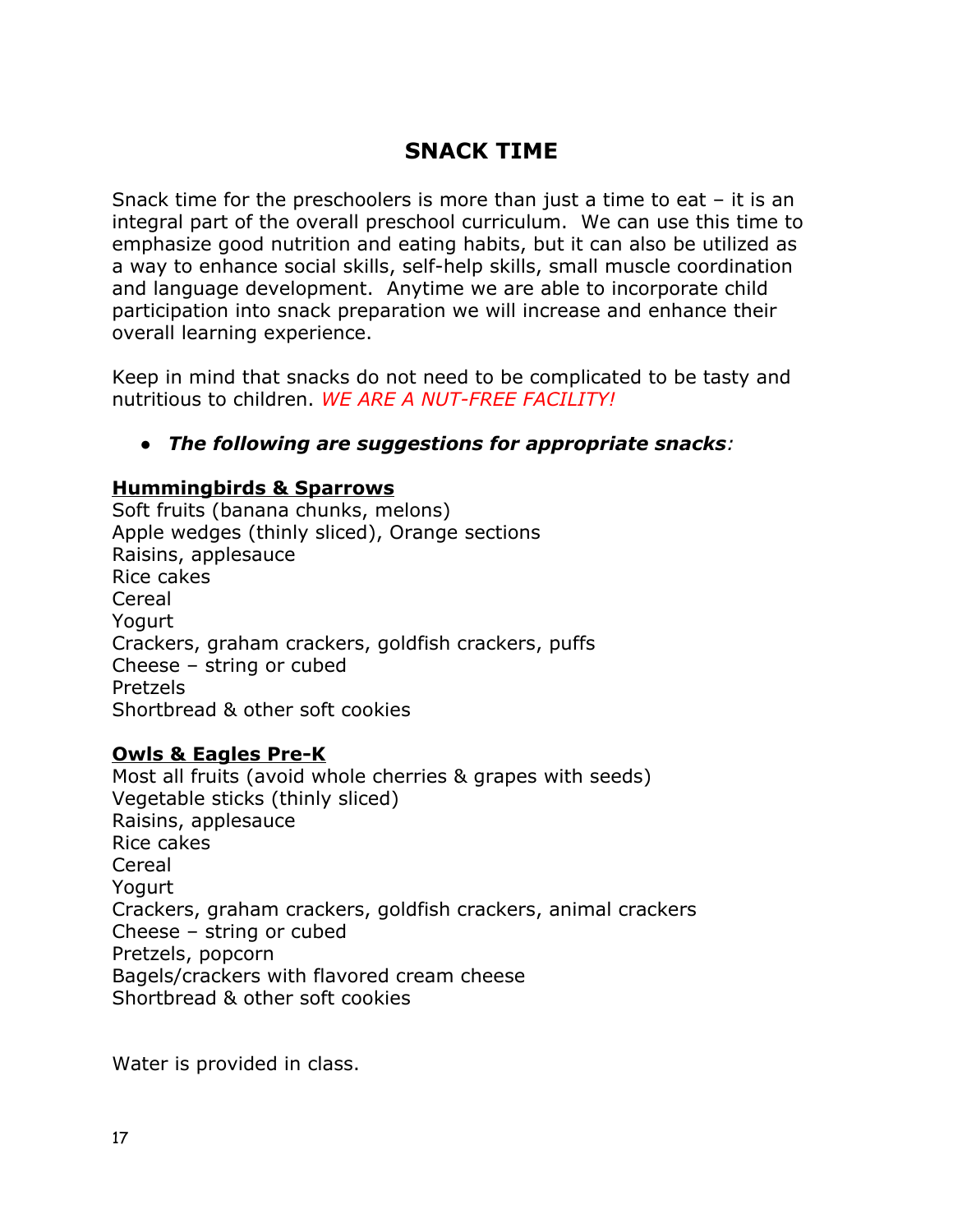## **SNACK TIME**

Snack time for the preschoolers is more than just a time to eat – it is an integral part of the overall preschool curriculum. We can use this time to emphasize good nutrition and eating habits, but it can also be utilized as a way to enhance social skills, self-help skills, small muscle coordination and language development. Anytime we are able to incorporate child participation into snack preparation we will increase and enhance their overall learning experience.

Keep in mind that snacks do not need to be complicated to be tasty and nutritious to children. *WE ARE A NUT-FREE FACILITY!*

#### *● The following are suggestions for appropriate snacks:*

#### **Hummingbirds & Sparrows**

Soft fruits (banana chunks, melons) Apple wedges (thinly sliced), Orange sections Raisins, applesauce Rice cakes Cereal Yogurt Crackers, graham crackers, goldfish crackers, puffs Cheese – string or cubed Pretzels Shortbread & other soft cookies

#### **Owls & Eagles Pre-K**

Most all fruits (avoid whole cherries & grapes with seeds) Vegetable sticks (thinly sliced) Raisins, applesauce Rice cakes Cereal Yogurt Crackers, graham crackers, goldfish crackers, animal crackers Cheese – string or cubed Pretzels, popcorn Bagels/crackers with flavored cream cheese Shortbread & other soft cookies

Water is provided in class.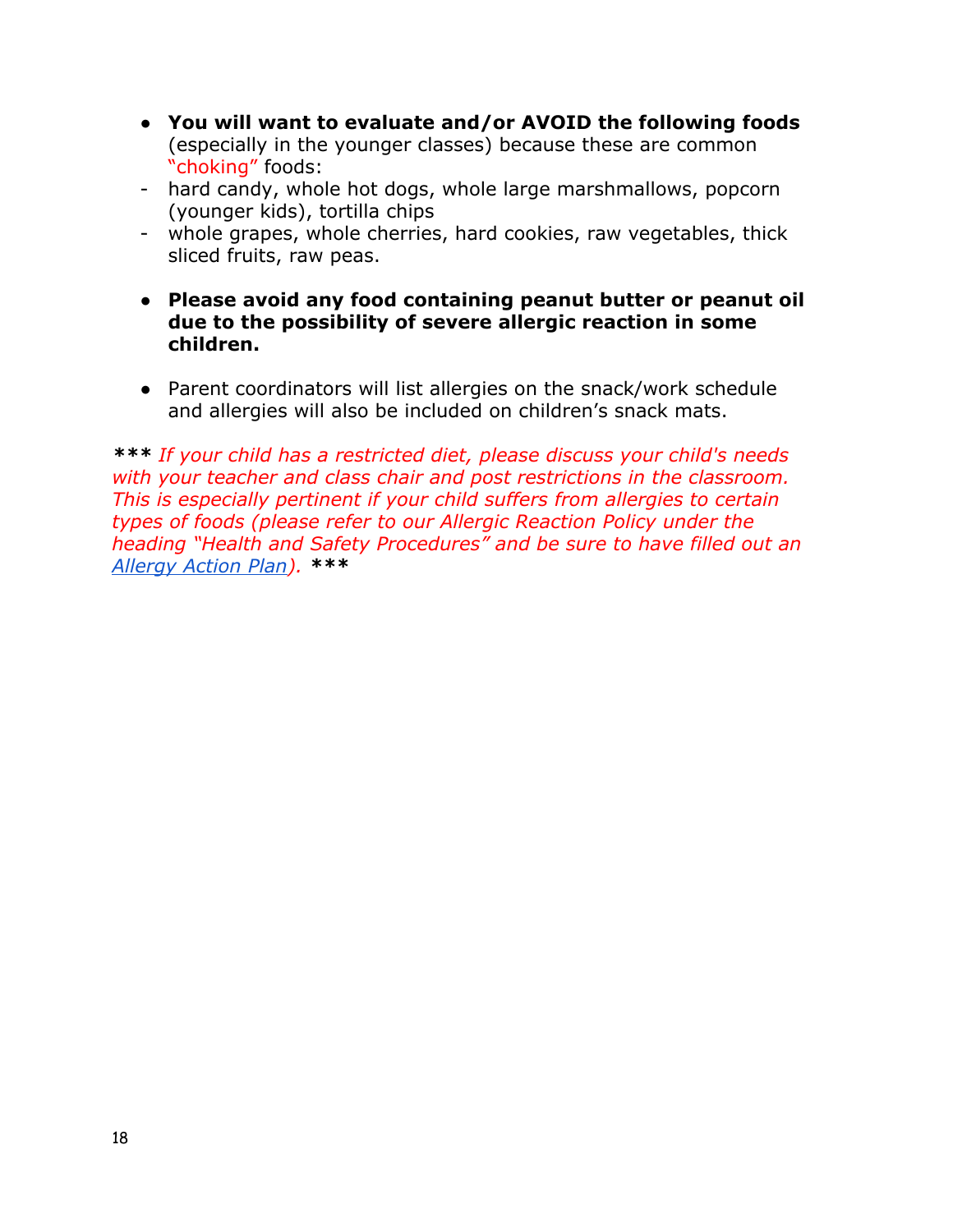- **You will want to evaluate and/or AVOID the following foods** (especially in the younger classes) because these are common "choking" foods:
- hard candy, whole hot dogs, whole large marshmallows, popcorn (younger kids), tortilla chips
- whole grapes, whole cherries, hard cookies, raw vegetables, thick sliced fruits, raw peas.
- **● Please avoid any food containing peanut butter or peanut oil due to the possibility of severe allergic reaction in some children.**
- Parent coordinators will list allergies on the snack/work schedule and allergies will also be included on children's snack mats.

*\*\*\* If your child has a restricted diet, please discuss your child's needs with your teacher and class chair and post restrictions in the classroom. This is especially pertinent if your child suffers from allergies to certain types of foods (please refer to our Allergic Reaction Policy under the heading "Health and Safety Procedures" and be sure to have filled out an [Allergy Action Plan\)](http://docs.wixstatic.com/ugd/9ab5a4_1a5ce824bbfa49cea26d13fd7b0170aa.pdf). \*\*\**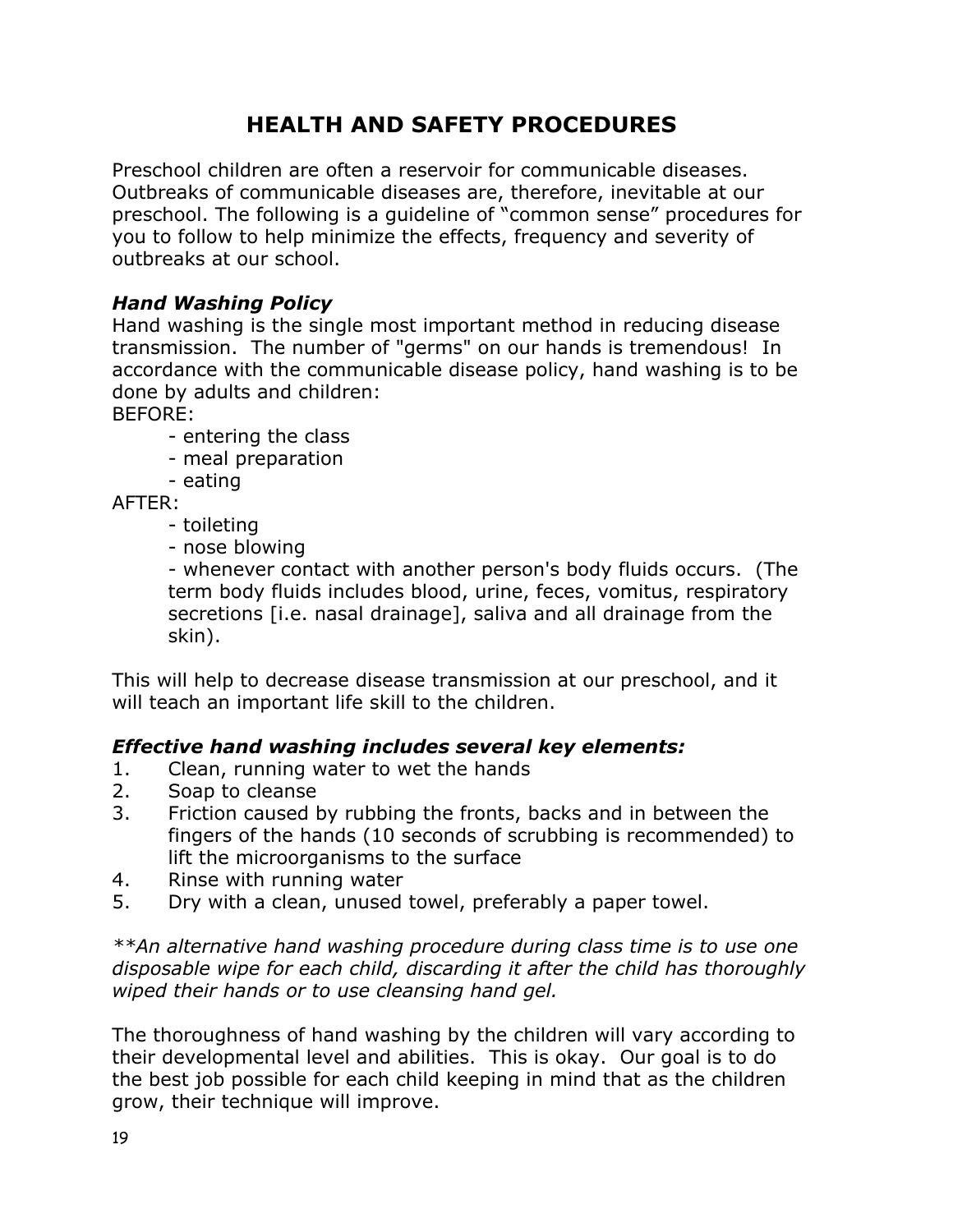# **HEALTH AND SAFETY PROCEDURES**

Preschool children are often a reservoir for communicable diseases. Outbreaks of communicable diseases are, therefore, inevitable at our preschool. The following is a guideline of "common sense" procedures for you to follow to help minimize the effects, frequency and severity of outbreaks at our school.

#### *Hand Washing Policy*

Hand washing is the single most important method in reducing disease transmission. The number of "germs" on our hands is tremendous! In accordance with the communicable disease policy, hand washing is to be done by adults and children:

BEFORE:

- entering the class
- meal preparation
- eating

AFTER:

- toileting
- nose blowing

- whenever contact with another person's body fluids occurs. (The term body fluids includes blood, urine, feces, vomitus, respiratory secretions [i.e. nasal drainage], saliva and all drainage from the skin).

This will help to decrease disease transmission at our preschool, and it will teach an important life skill to the children.

#### *Effective hand washing includes several key elements:*

- 1. Clean, running water to wet the hands
- 2. Soap to cleanse
- 3. Friction caused by rubbing the fronts, backs and in between the fingers of the hands (10 seconds of scrubbing is recommended) to lift the microorganisms to the surface
- 4. Rinse with running water
- 5. Dry with a clean, unused towel, preferably a paper towel.

*\*\*An alternative hand washing procedure during class time is to use one disposable wipe for each child, discarding it after the child has thoroughly wiped their hands or to use cleansing hand gel.*

The thoroughness of hand washing by the children will vary according to their developmental level and abilities. This is okay. Our goal is to do the best job possible for each child keeping in mind that as the children grow, their technique will improve.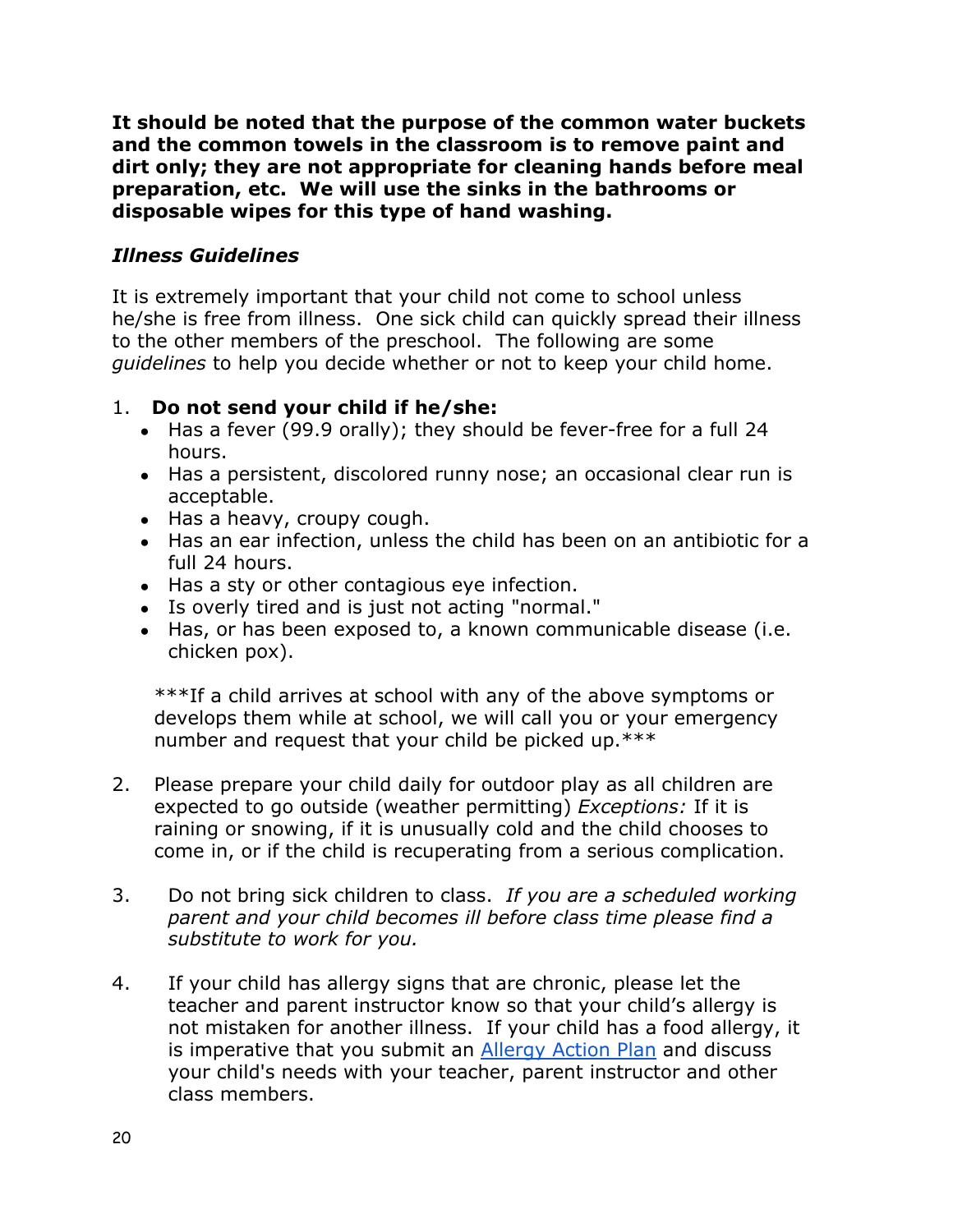**It should be noted that the purpose of the common water buckets and the common towels in the classroom is to remove paint and dirt only; they are not appropriate for cleaning hands before meal preparation, etc. We will use the sinks in the bathrooms or disposable wipes for this type of hand washing.**

#### *Illness Guidelines*

It is extremely important that your child not come to school unless he/she is free from illness. One sick child can quickly spread their illness to the other members of the preschool. The following are some *guidelines* to help you decide whether or not to keep your child home.

#### 1. **Do not send your child if he/she:**

- Has a fever (99.9 orally); they should be fever-free for a full 24 hours.
- Has a persistent, discolored runny nose; an occasional clear run is acceptable.
- Has a heavy, croupy cough.
- Has an ear infection, unless the child has been on an antibiotic for a full 24 hours.
- Has a sty or other contagious eye infection.
- Is overly tired and is just not acting "normal."
- Has, or has been exposed to, a known communicable disease (i.e. chicken pox).

\*\*\*If a child arrives at school with any of the above symptoms or develops them while at school, we will call you or your emergency number and request that your child be picked up.\*\*\*

- 2. Please prepare your child daily for outdoor play as all children are expected to go outside (weather permitting) *Exceptions:* If it is raining or snowing, if it is unusually cold and the child chooses to come in, or if the child is recuperating from a serious complication.
- 3. Do not bring sick children to class. *If you are a scheduled working parent and your child becomes ill before class time please find a substitute to work for you.*
- 4. If your child has allergy signs that are chronic, please let the teacher and parent instructor know so that your child's allergy is not mistaken for another illness. If your child has a food allergy, it is imperative that you submit an [Allergy Action Plan](http://docs.wixstatic.com/ugd/9ab5a4_1a5ce824bbfa49cea26d13fd7b0170aa.pdf) and discuss your child's needs with your teacher, parent instructor and other class members.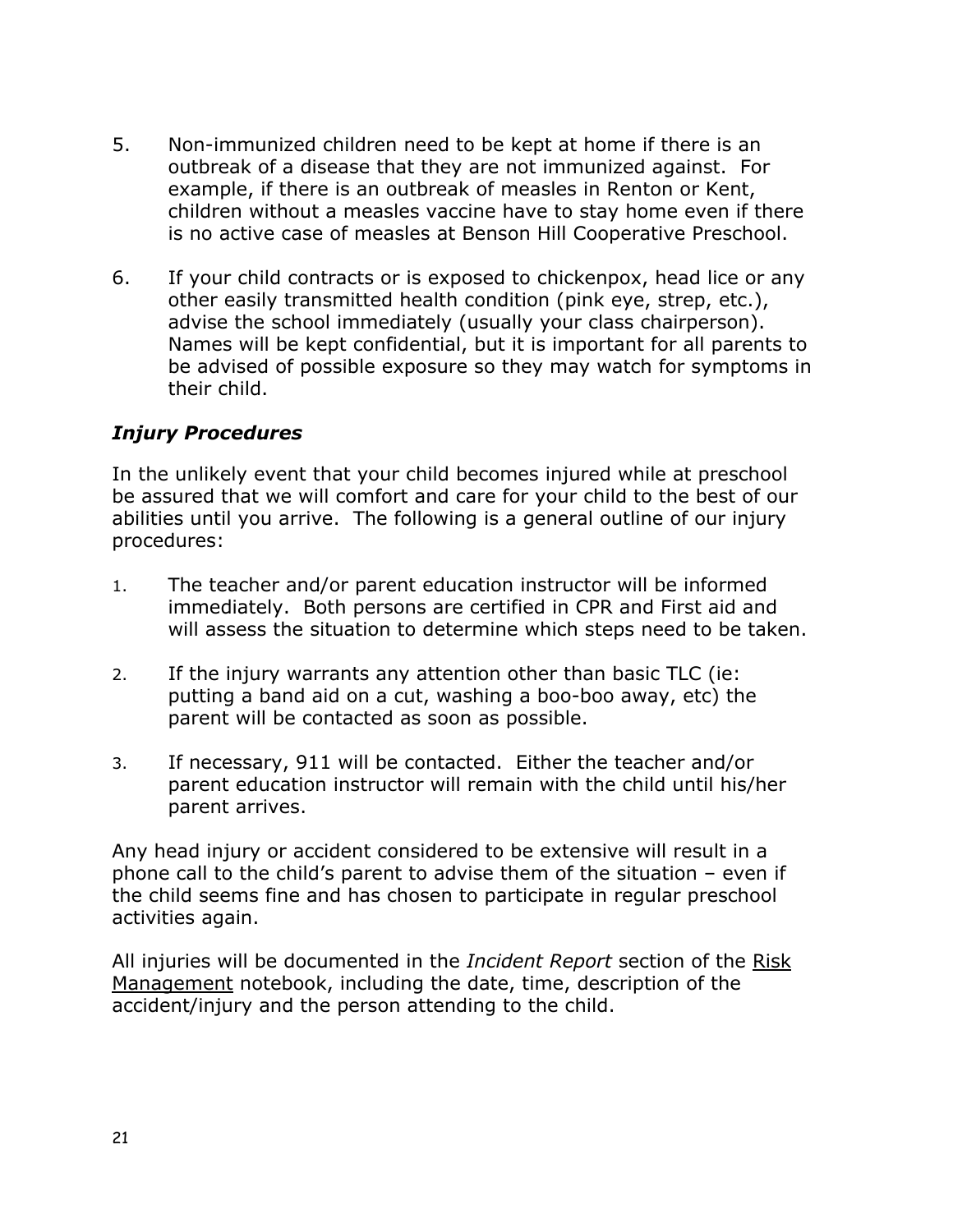- 5. Non-immunized children need to be kept at home if there is an outbreak of a disease that they are not immunized against. For example, if there is an outbreak of measles in Renton or Kent, children without a measles vaccine have to stay home even if there is no active case of measles at Benson Hill Cooperative Preschool.
- 6. If your child contracts or is exposed to chickenpox, head lice or any other easily transmitted health condition (pink eye, strep, etc.), advise the school immediately (usually your class chairperson). Names will be kept confidential, but it is important for all parents to be advised of possible exposure so they may watch for symptoms in their child.

#### *Injury Procedures*

In the unlikely event that your child becomes injured while at preschool be assured that we will comfort and care for your child to the best of our abilities until you arrive. The following is a general outline of our injury procedures:

- 1. The teacher and/or parent education instructor will be informed immediately. Both persons are certified in CPR and First aid and will assess the situation to determine which steps need to be taken.
- 2. If the injury warrants any attention other than basic TLC (ie: putting a band aid on a cut, washing a boo-boo away, etc) the parent will be contacted as soon as possible.
- 3. If necessary, 911 will be contacted. Either the teacher and/or parent education instructor will remain with the child until his/her parent arrives.

Any head injury or accident considered to be extensive will result in a phone call to the child's parent to advise them of the situation – even if the child seems fine and has chosen to participate in regular preschool activities again.

All injuries will be documented in the *Incident Report* section of the Risk Management notebook, including the date, time, description of the accident/injury and the person attending to the child.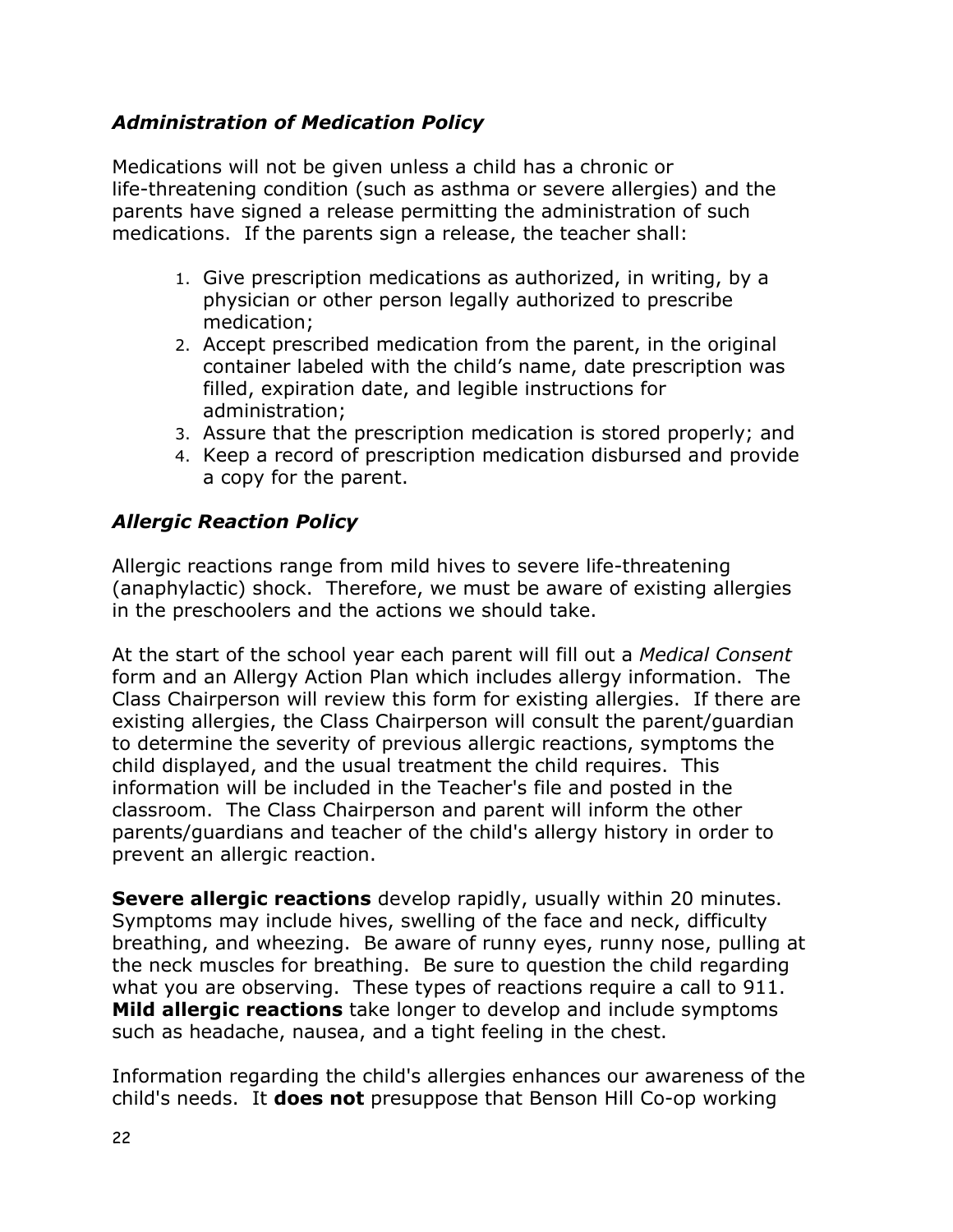#### *Administration of Medication Policy*

Medications will not be given unless a child has a chronic or life-threatening condition (such as asthma or severe allergies) and the parents have signed a release permitting the administration of such medications. If the parents sign a release, the teacher shall:

- 1. Give prescription medications as authorized, in writing, by a physician or other person legally authorized to prescribe medication;
- 2. Accept prescribed medication from the parent, in the original container labeled with the child's name, date prescription was filled, expiration date, and legible instructions for administration;
- 3. Assure that the prescription medication is stored properly; and
- 4. Keep a record of prescription medication disbursed and provide a copy for the parent.

#### *Allergic Reaction Policy*

Allergic reactions range from mild hives to severe life-threatening (anaphylactic) shock. Therefore, we must be aware of existing allergies in the preschoolers and the actions we should take.

At the start of the school year each parent will fill out a *Medical Consent* form and an Allergy Action Plan which includes allergy information. The Class Chairperson will review this form for existing allergies. If there are existing allergies, the Class Chairperson will consult the parent/guardian to determine the severity of previous allergic reactions, symptoms the child displayed, and the usual treatment the child requires. This information will be included in the Teacher's file and posted in the classroom. The Class Chairperson and parent will inform the other parents/guardians and teacher of the child's allergy history in order to prevent an allergic reaction.

**Severe allergic reactions** develop rapidly, usually within 20 minutes. Symptoms may include hives, swelling of the face and neck, difficulty breathing, and wheezing. Be aware of runny eyes, runny nose, pulling at the neck muscles for breathing. Be sure to question the child regarding what you are observing. These types of reactions require a call to 911. **Mild allergic reactions** take longer to develop and include symptoms such as headache, nausea, and a tight feeling in the chest.

Information regarding the child's allergies enhances our awareness of the child's needs. It **does not** presuppose that Benson Hill Co-op working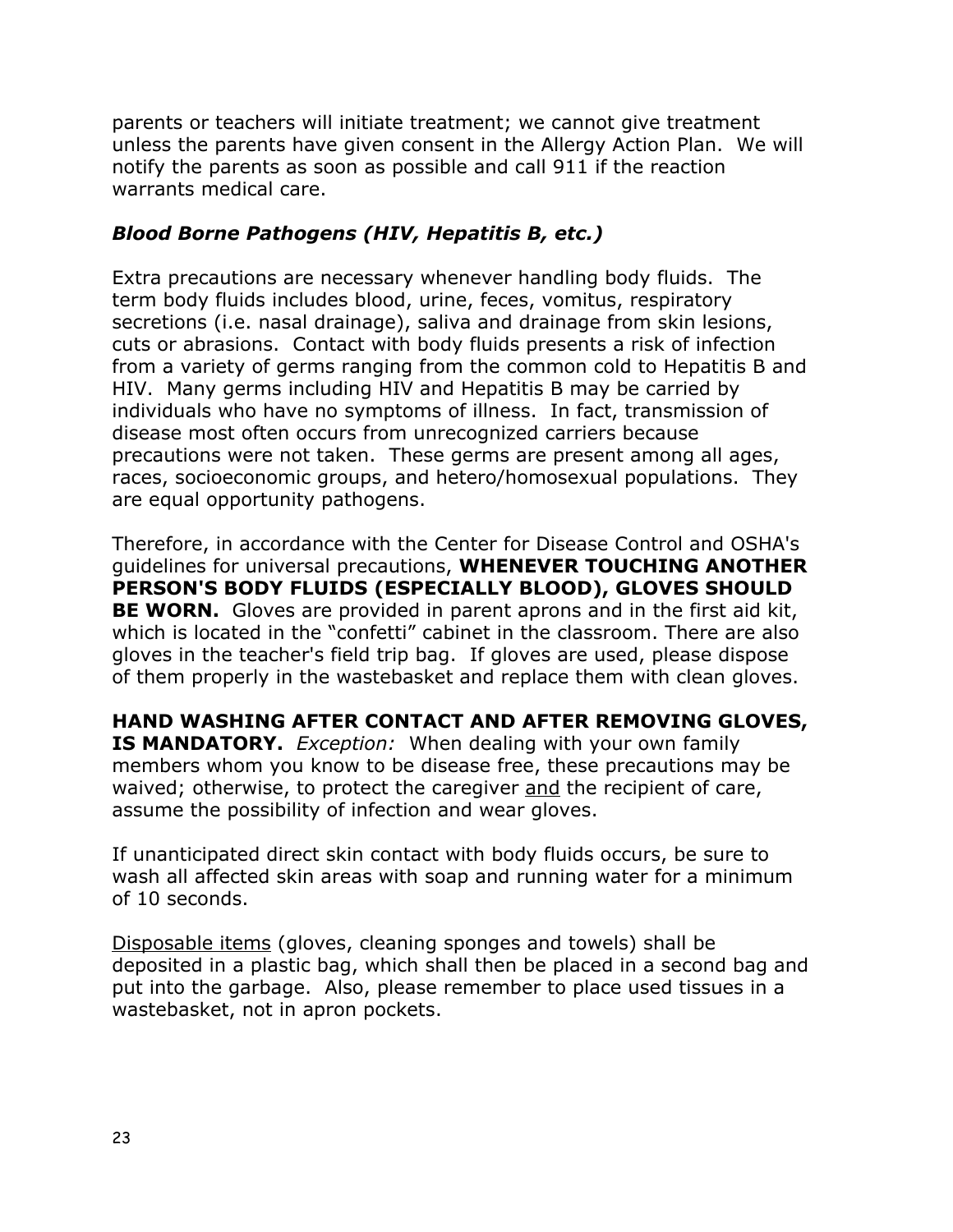parents or teachers will initiate treatment; we cannot give treatment unless the parents have given consent in the Allergy Action Plan. We will notify the parents as soon as possible and call 911 if the reaction warrants medical care.

#### *Blood Borne Pathogens (HIV, Hepatitis B, etc.)*

Extra precautions are necessary whenever handling body fluids. The term body fluids includes blood, urine, feces, vomitus, respiratory secretions (i.e. nasal drainage), saliva and drainage from skin lesions, cuts or abrasions. Contact with body fluids presents a risk of infection from a variety of germs ranging from the common cold to Hepatitis B and HIV. Many germs including HIV and Hepatitis B may be carried by individuals who have no symptoms of illness. In fact, transmission of disease most often occurs from unrecognized carriers because precautions were not taken. These germs are present among all ages, races, socioeconomic groups, and hetero/homosexual populations. They are equal opportunity pathogens.

Therefore, in accordance with the Center for Disease Control and OSHA's guidelines for universal precautions, **WHENEVER TOUCHING ANOTHER PERSON'S BODY FLUIDS (ESPECIALLY BLOOD), GLOVES SHOULD BE WORN.** Gloves are provided in parent aprons and in the first aid kit, which is located in the "confetti" cabinet in the classroom. There are also gloves in the teacher's field trip bag. If gloves are used, please dispose of them properly in the wastebasket and replace them with clean gloves.

**HAND WASHING AFTER CONTACT AND AFTER REMOVING GLOVES, IS MANDATORY.** *Exception:* When dealing with your own family members whom you know to be disease free, these precautions may be waived; otherwise, to protect the caregiver and the recipient of care, assume the possibility of infection and wear gloves.

If unanticipated direct skin contact with body fluids occurs, be sure to wash all affected skin areas with soap and running water for a minimum of 10 seconds.

Disposable items (gloves, cleaning sponges and towels) shall be deposited in a plastic bag, which shall then be placed in a second bag and put into the garbage. Also, please remember to place used tissues in a wastebasket, not in apron pockets.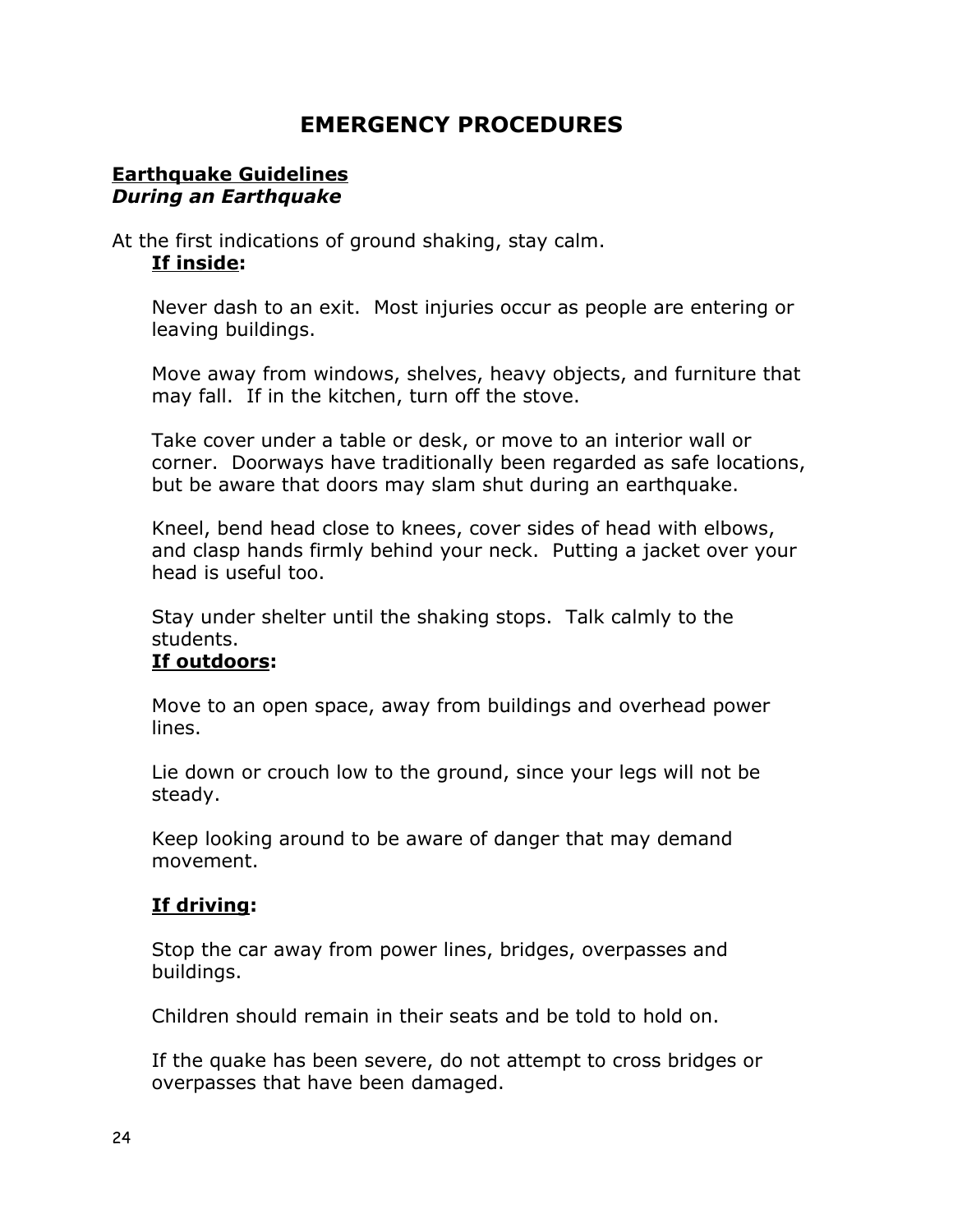## **EMERGENCY PROCEDURES**

#### **Earthquake Guidelines** *During an Earthquake*

#### At the first indications of ground shaking, stay calm. **If inside:**

Never dash to an exit. Most injuries occur as people are entering or leaving buildings.

Move away from windows, shelves, heavy objects, and furniture that may fall. If in the kitchen, turn off the stove.

Take cover under a table or desk, or move to an interior wall or corner. Doorways have traditionally been regarded as safe locations, but be aware that doors may slam shut during an earthquake.

Kneel, bend head close to knees, cover sides of head with elbows, and clasp hands firmly behind your neck. Putting a jacket over your head is useful too.

Stay under shelter until the shaking stops. Talk calmly to the students.

#### **If outdoors:**

Move to an open space, away from buildings and overhead power lines.

Lie down or crouch low to the ground, since your legs will not be steady.

Keep looking around to be aware of danger that may demand movement.

#### **If driving:**

Stop the car away from power lines, bridges, overpasses and buildings.

Children should remain in their seats and be told to hold on.

If the quake has been severe, do not attempt to cross bridges or overpasses that have been damaged.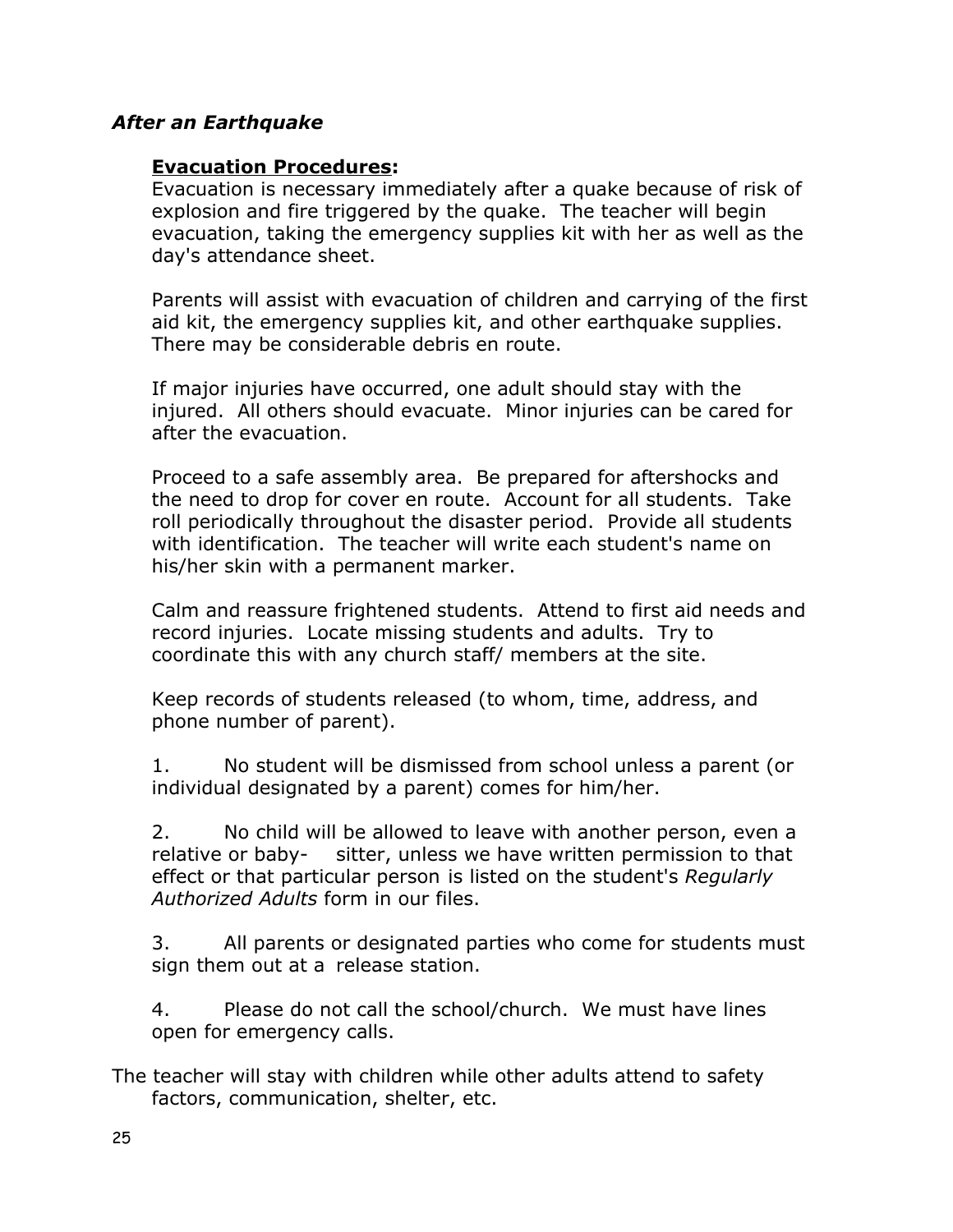#### *After an Earthquake*

#### **Evacuation Procedures:**

Evacuation is necessary immediately after a quake because of risk of explosion and fire triggered by the quake. The teacher will begin evacuation, taking the emergency supplies kit with her as well as the day's attendance sheet.

Parents will assist with evacuation of children and carrying of the first aid kit, the emergency supplies kit, and other earthquake supplies. There may be considerable debris en route.

If major injuries have occurred, one adult should stay with the injured. All others should evacuate. Minor injuries can be cared for after the evacuation.

Proceed to a safe assembly area. Be prepared for aftershocks and the need to drop for cover en route. Account for all students. Take roll periodically throughout the disaster period. Provide all students with identification. The teacher will write each student's name on his/her skin with a permanent marker.

Calm and reassure frightened students. Attend to first aid needs and record injuries. Locate missing students and adults. Try to coordinate this with any church staff/ members at the site.

Keep records of students released (to whom, time, address, and phone number of parent).

1. No student will be dismissed from school unless a parent (or individual designated by a parent) comes for him/her.

2. No child will be allowed to leave with another person, even a relative or baby- sitter, unless we have written permission to that effect or that particular person is listed on the student's *Regularly Authorized Adults* form in our files.

3. All parents or designated parties who come for students must sign them out at a release station.

4. Please do not call the school/church. We must have lines open for emergency calls.

The teacher will stay with children while other adults attend to safety factors, communication, shelter, etc.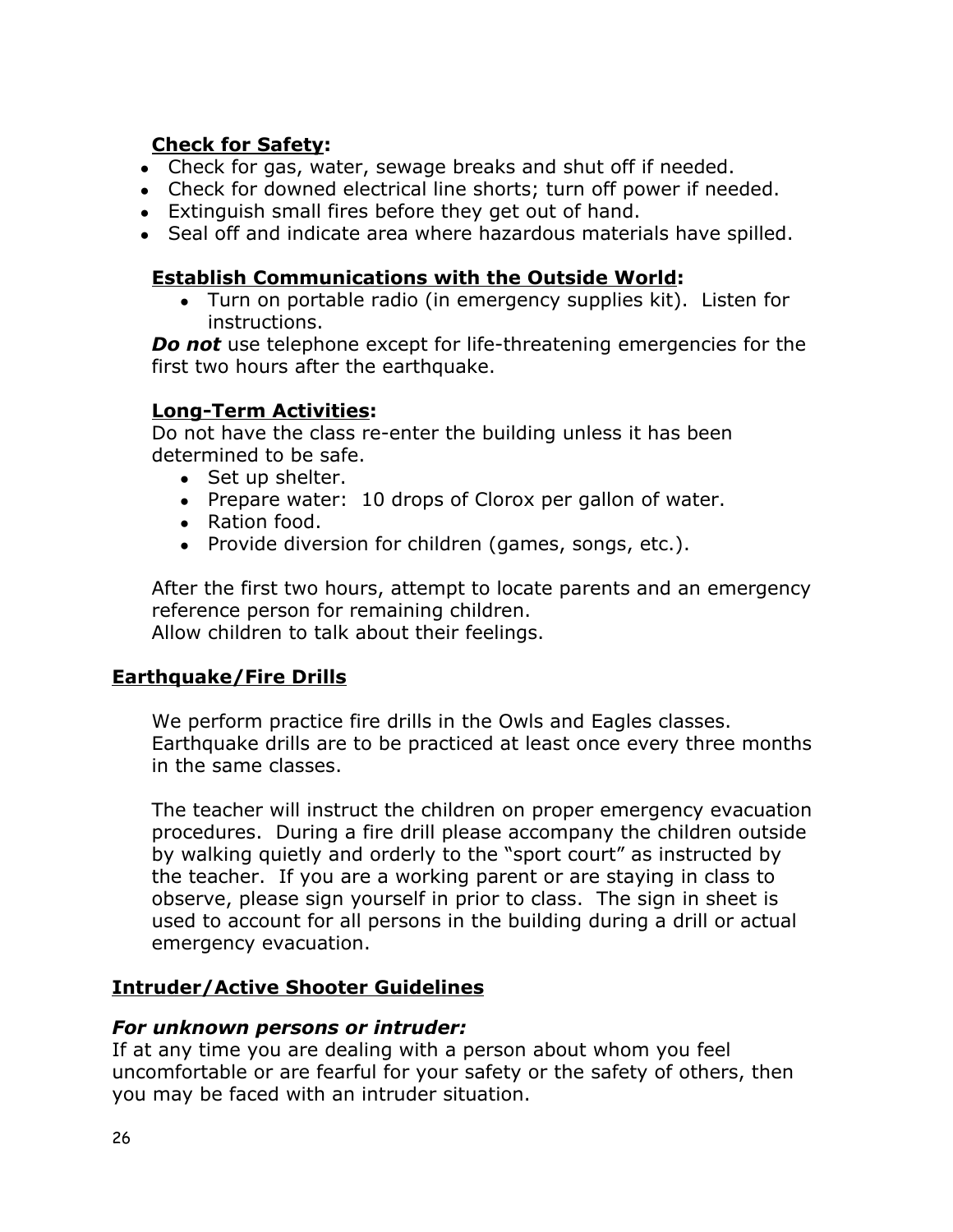#### **Check for Safety:**

- Check for gas, water, sewage breaks and shut off if needed.
- Check for downed electrical line shorts; turn off power if needed.
- Extinguish small fires before they get out of hand.
- Seal off and indicate area where hazardous materials have spilled.

#### **Establish Communications with the Outside World:**

• Turn on portable radio (in emergency supplies kit). Listen for instructions.

*Do not* use telephone except for life-threatening emergencies for the first two hours after the earthquake.

#### **Long-Term Activities:**

Do not have the class re-enter the building unless it has been determined to be safe.

- Set up shelter.
- Prepare water: 10 drops of Clorox per gallon of water.
- Ration food.
- Provide diversion for children (games, songs, etc.).

After the first two hours, attempt to locate parents and an emergency reference person for remaining children. Allow children to talk about their feelings.

#### **Earthquake/Fire Drills**

We perform practice fire drills in the Owls and Eagles classes. Earthquake drills are to be practiced at least once every three months in the same classes.

The teacher will instruct the children on proper emergency evacuation procedures. During a fire drill please accompany the children outside by walking quietly and orderly to the "sport court" as instructed by the teacher. If you are a working parent or are staying in class to observe, please sign yourself in prior to class. The sign in sheet is used to account for all persons in the building during a drill or actual emergency evacuation.

#### **Intruder/Active Shooter Guidelines**

#### *For unknown persons or intruder:*

If at any time you are dealing with a person about whom you feel uncomfortable or are fearful for your safety or the safety of others, then you may be faced with an intruder situation.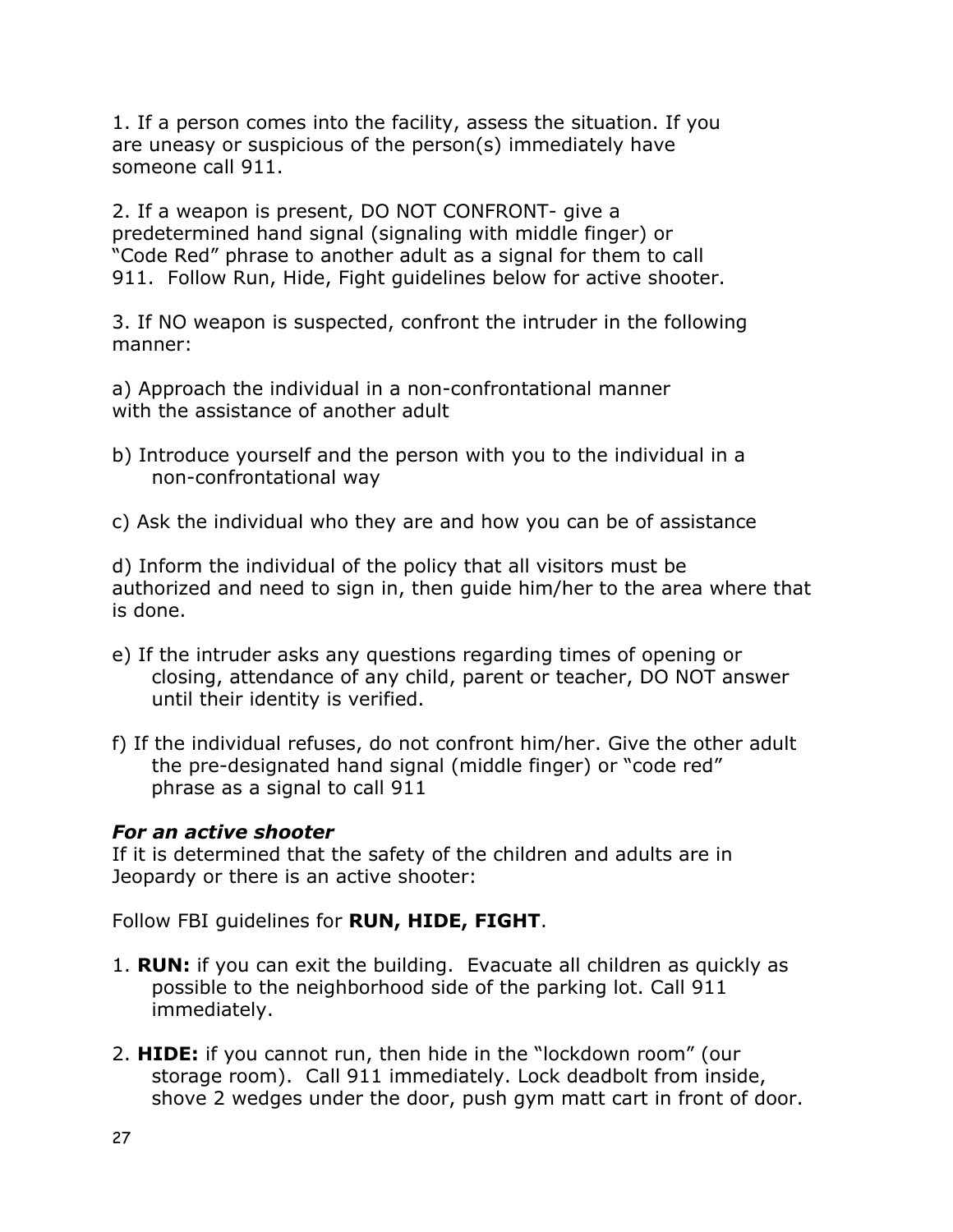1. If a person comes into the facility, assess the situation. If you are uneasy or suspicious of the person(s) immediately have someone call 911.

2. If a weapon is present, DO NOT CONFRONT- give a predetermined hand signal (signaling with middle finger) or "Code Red" phrase to another adult as a signal for them to call 911. Follow Run, Hide, Fight guidelines below for active shooter.

3. If NO weapon is suspected, confront the intruder in the following manner:

a) Approach the individual in a non-confrontational manner with the assistance of another adult

- b) Introduce yourself and the person with you to the individual in a non-confrontational way
- c) Ask the individual who they are and how you can be of assistance

d) Inform the individual of the policy that all visitors must be authorized and need to sign in, then guide him/her to the area where that is done.

- e) If the intruder asks any questions regarding times of opening or closing, attendance of any child, parent or teacher, DO NOT answer until their identity is verified.
- f) If the individual refuses, do not confront him/her. Give the other adult the pre-designated hand signal (middle finger) or "code red" phrase as a signal to call 911

#### *For an active shooter*

If it is determined that the safety of the children and adults are in Jeopardy or there is an active shooter:

Follow FBI guidelines for **RUN, HIDE, FIGHT**.

- 1. **RUN:** if you can exit the building. Evacuate all children as quickly as possible to the neighborhood side of the parking lot. Call 911 immediately.
- 2. **HIDE:** if you cannot run, then hide in the "lockdown room" (our storage room). Call 911 immediately. Lock deadbolt from inside, shove 2 wedges under the door, push gym matt cart in front of door.